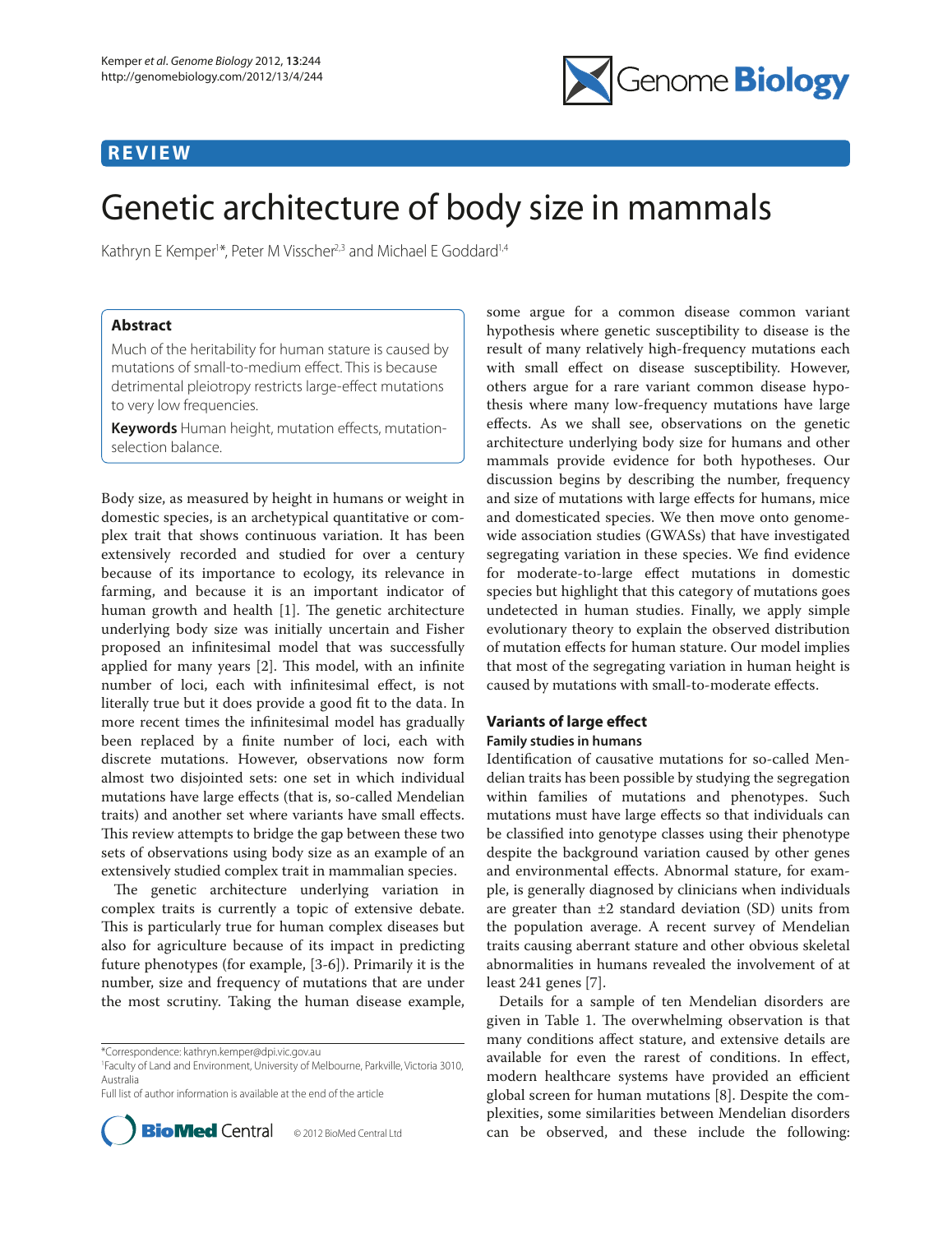# **REVIEW**



# Genetic architecture of body size in mammals

Kathryn E Kemper<sup>i\*</sup>, Peter M Visscher<sup>2,3</sup> and Michael E Goddard<sup>1,4</sup>

# **Abstract**

Much of the heritability for human stature is caused by mutations of small-to-medium effect. This is because detrimental pleiotropy restricts large-effect mutations to very low frequencies.

**Keywords** Human height, mutation effects, mutationselection balance.

Body size, as measured by height in humans or weight in domestic species, is an archetypical quantitative or complex trait that shows continuous variation. It has been extensively recorded and studied for over a century because of its importance to ecology, its relevance in farming, and because it is an important indicator of human growth and health  $[1]$ . The genetic architecture underlying body size was initially uncertain and Fisher proposed an infinitesimal model that was successfully applied for many years  $[2]$ . This model, with an infinite number of loci, each with infinitesimal effect, is not literally true but it does provide a good fit to the data. In more recent times the infinitesimal model has gradually been replaced by a finite number of loci, each with discrete mutations. However, observations now form almost two disjointed sets: one set in which individual mutations have large effects (that is, so-called Mendelian traits) and another set where variants have small effects. This review attempts to bridge the gap between these two sets of observations using body size as an example of an extensively studied complex trait in mammalian species.

The genetic architecture underlying variation in complex traits is currently a topic of extensive debate. This is particularly true for human complex diseases but also for agriculture because of its impact in predicting future phenotypes (for example, [3-6]). Primarily it is the number, size and frequency of mutations that are under the most scrutiny. Taking the human disease example,

Full list of author information is available at the end of the article



some argue for a common disease common variant hypothesis where genetic susceptibility to disease is the result of many relatively high-frequency mutations each with small effect on disease susceptibility. However, others argue for a rare variant common disease hypothesis where many low-frequency mutations have large effects. As we shall see, observations on the genetic architecture underlying body size for humans and other mammals provide evidence for both hypotheses. Our discussion begins by describing the number, frequency and size of mutations with large effects for humans, mice and domesticated species. We then move onto genomewide association studies (GWASs) that have investigated segregating variation in these species. We find evidence for moderate-to-large effect mutations in domestic species but highlight that this category of mutations goes undetected in human studies. Finally, we apply simple evolutionary theory to explain the observed distribution of mutation effects for human stature. Our model implies that most of the segregating variation in human height is caused by mutations with small-to-moderate effects.

# **Variants of large effect**

# **Family studies in humans**

Identification of causative mutations for so-called Mendelian traits has been possible by studying the segregation within families of mutations and phenotypes. Such mutations must have large effects so that individuals can be classified into genotype classes using their phenotype despite the background variation caused by other genes and environmental effects. Abnormal stature, for example, is generally diagnosed by clinicians when individuals are greater than  $\pm 2$  standard deviation (SD) units from the population average. A recent survey of Mendelian traits causing aberrant stature and other obvious skeletal abnormalities in humans revealed the involvement of at least 241 genes [7].

Details for a sample of ten Mendelian disorders are given in Table 1. The overwhelming observation is that many conditions affect stature, and extensive details are available for even the rarest of conditions. In effect, modern healthcare systems have provided an efficient global screen for human mutations [8]. Despite the complexities, some similarities between Mendelian disorders can be observed, and these include the following:

<sup>\*</sup>Correspondence: kathryn.kemper@dpi.vic.gov.au

<sup>1</sup> Faculty of Land and Environment, University of Melbourne, Parkville, Victoria 3010, Australia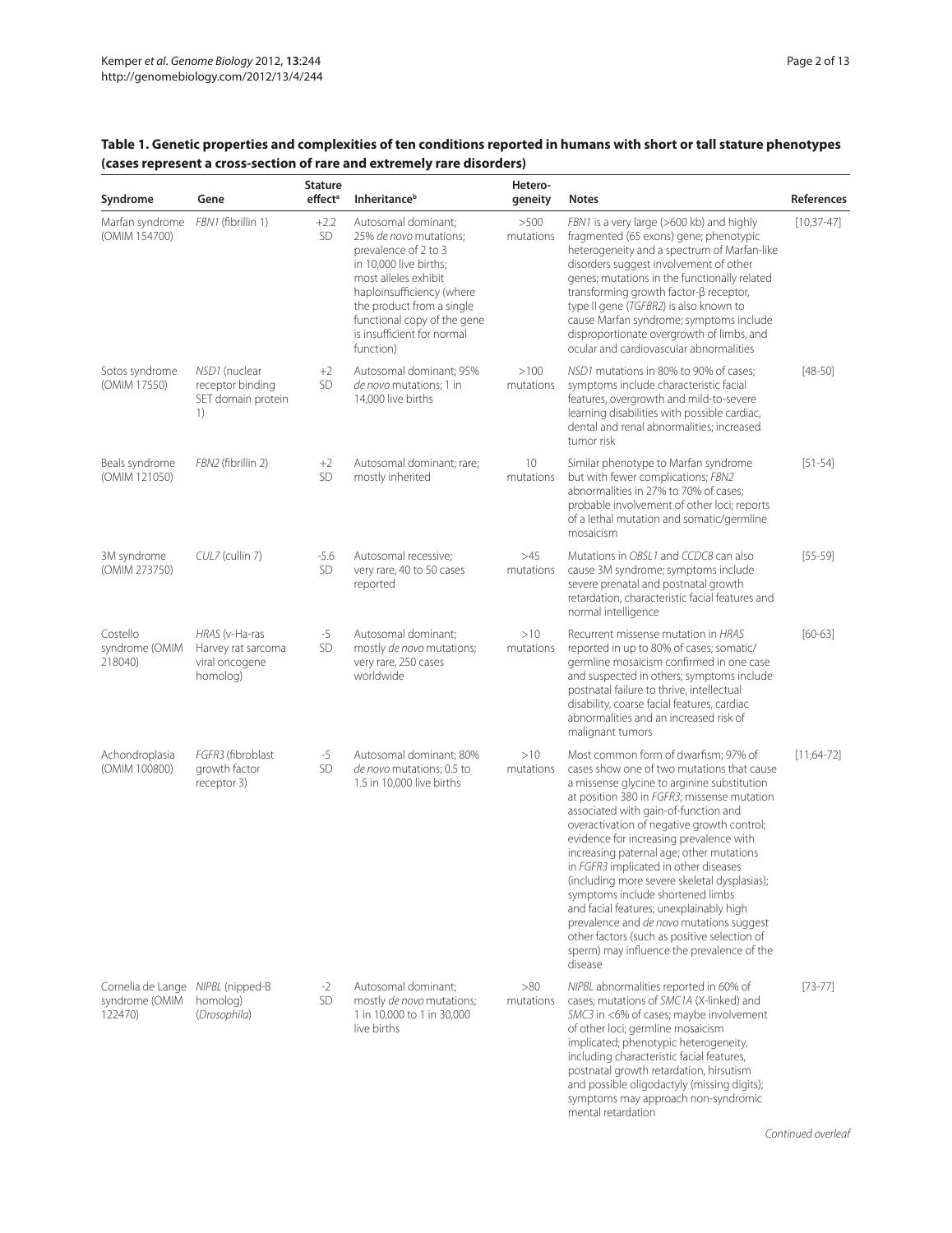# **Table 1. Genetic properties and complexities of ten conditions reported in humans with short or tall stature phenotypes (cases represent a cross-section of rare and extremely rare disorders)**

| Syndrome                                                       | Gene                                                               | <b>Stature</b><br>effect <sup>a</sup> | <b>Inheritance</b> <sup>b</sup>                                                                                                                                                                                                                             | Hetero-<br>geneity | <b>Notes</b>                                                                                                                                                                                                                                                                                                                                                                                                                                                                                                                                                                                                                                                                               | References      |
|----------------------------------------------------------------|--------------------------------------------------------------------|---------------------------------------|-------------------------------------------------------------------------------------------------------------------------------------------------------------------------------------------------------------------------------------------------------------|--------------------|--------------------------------------------------------------------------------------------------------------------------------------------------------------------------------------------------------------------------------------------------------------------------------------------------------------------------------------------------------------------------------------------------------------------------------------------------------------------------------------------------------------------------------------------------------------------------------------------------------------------------------------------------------------------------------------------|-----------------|
| Marfan syndrome<br>(OMIM 154700)                               | FBN1 (fibrillin 1)                                                 | $+2.2$<br>SD.                         | Autosomal dominant;<br>25% de novo mutations;<br>prevalence of 2 to 3<br>in 10,000 live births;<br>most alleles exhibit<br>haploinsufficiency (where<br>the product from a single<br>functional copy of the gene<br>is insufficient for normal<br>function) | >500<br>mutations  | FBN1 is a very large (>600 kb) and highly<br>fragmented (65 exons) gene; phenotypic<br>heterogeneity and a spectrum of Marfan-like<br>disorders suggest involvement of other<br>genes; mutations in the functionally related<br>transforming growth factor-β receptor,<br>type II gene (TGFBR2) is also known to<br>cause Marfan syndrome; symptoms include<br>disproportionate overgrowth of limbs, and<br>ocular and cardiovascular abnormalities                                                                                                                                                                                                                                        | $[10, 37 - 47]$ |
| Sotos syndrome<br>(OMIM 17550)                                 | NSD1 (nuclear<br>receptor binding<br>SET domain protein<br>1)      | $+2$<br><b>SD</b>                     | Autosomal dominant; 95%<br>de novo mutations; 1 in<br>14,000 live births                                                                                                                                                                                    | >100<br>mutations  | NSD1 mutations in 80% to 90% of cases;<br>symptoms include characteristic facial<br>features, overgrowth and mild-to-severe<br>learning disabilities with possible cardiac,<br>dental and renal abnormalities; increased<br>tumor risk                                                                                                                                                                                                                                                                                                                                                                                                                                                     | $[48 - 50]$     |
| Beals syndrome<br>(OMIM 121050)                                | FBN2 (fibrillin 2)                                                 | $+2$<br><b>SD</b>                     | Autosomal dominant; rare;<br>mostly inherited                                                                                                                                                                                                               | 10<br>mutations    | Similar phenotype to Marfan syndrome<br>but with fewer complications; FBN2<br>abnormalities in 27% to 70% of cases;<br>probable involvement of other loci; reports<br>of a lethal mutation and somatic/germline<br>mosaicism                                                                                                                                                                                                                                                                                                                                                                                                                                                               | $[51-54]$       |
| 3M syndrome<br>(OMIM 273750)                                   | CUL7 (cullin 7)                                                    | $-5.6$<br><b>SD</b>                   | Autosomal recessive;<br>very rare, 40 to 50 cases<br>reported                                                                                                                                                                                               | >45<br>mutations   | Mutations in OBSL1 and CCDC8 can also<br>cause 3M syndrome; symptoms include<br>severe prenatal and postnatal growth<br>retardation, characteristic facial features and<br>normal intelligence                                                                                                                                                                                                                                                                                                                                                                                                                                                                                             | $[55-59]$       |
| Costello<br>syndrome (OMIM<br>218040)                          | HRAS (v-Ha-ras<br>Harvey rat sarcoma<br>viral oncogene<br>homolog) | -5<br><b>SD</b>                       | Autosomal dominant;<br>mostly de novo mutations;<br>very rare, 250 cases<br>worldwide                                                                                                                                                                       | >10<br>mutations   | Recurrent missense mutation in HRAS<br>reported in up to 80% of cases; somatic/<br>germline mosaicism confirmed in one case<br>and suspected in others; symptoms include<br>postnatal failure to thrive, intellectual<br>disability, coarse facial features, cardiac<br>abnormalities and an increased risk of<br>malignant tumors                                                                                                                                                                                                                                                                                                                                                         | $[60-63]$       |
| Achondroplasia<br>(OMIM 100800)                                | FGFR3 (fibroblast<br>growth factor<br>receptor 3)                  | $-5$<br><b>SD</b>                     | Autosomal dominant; 80%<br>de novo mutations; 0.5 to<br>1.5 in 10,000 live births                                                                                                                                                                           | >10<br>mutations   | Most common form of dwarfism; 97% of<br>cases show one of two mutations that cause<br>a missense glycine to arginine substitution<br>at position 380 in FGFR3; missense mutation<br>associated with gain-of-function and<br>overactivation of negative growth control;<br>evidence for increasing prevalence with<br>increasing paternal age; other mutations<br>in FGFR3 implicated in other diseases<br>(including more severe skeletal dysplasias);<br>symptoms include shortened limbs<br>and facial features; unexplainably high<br>prevalence and de novo mutations suggest<br>other factors (such as positive selection of<br>sperm) may influence the prevalence of the<br>disease | $[11, 64 - 72]$ |
| Cornelia de Lange NIPBL (nipped-B<br>syndrome (OMIM<br>122470) | homolog)<br>(Drosophila)                                           | $-2$<br><b>SD</b>                     | Autosomal dominant;<br>mostly de novo mutations;<br>1 in 10,000 to 1 in 30,000<br>live births                                                                                                                                                               | >80<br>mutations   | NIPBL abnormalities reported in 60% of<br>cases; mutations of SMC1A (X-linked) and<br>SMC3 in <6% of cases; maybe involvement<br>of other loci; germline mosaicism<br>implicated; phenotypic heterogeneity,<br>including characteristic facial features,<br>postnatal growth retardation, hirsutism<br>and possible oligodactyly (missing digits);<br>symptoms may approach non-syndromic<br>mental retardation                                                                                                                                                                                                                                                                            | $[73 - 77]$     |

Page 2 of 13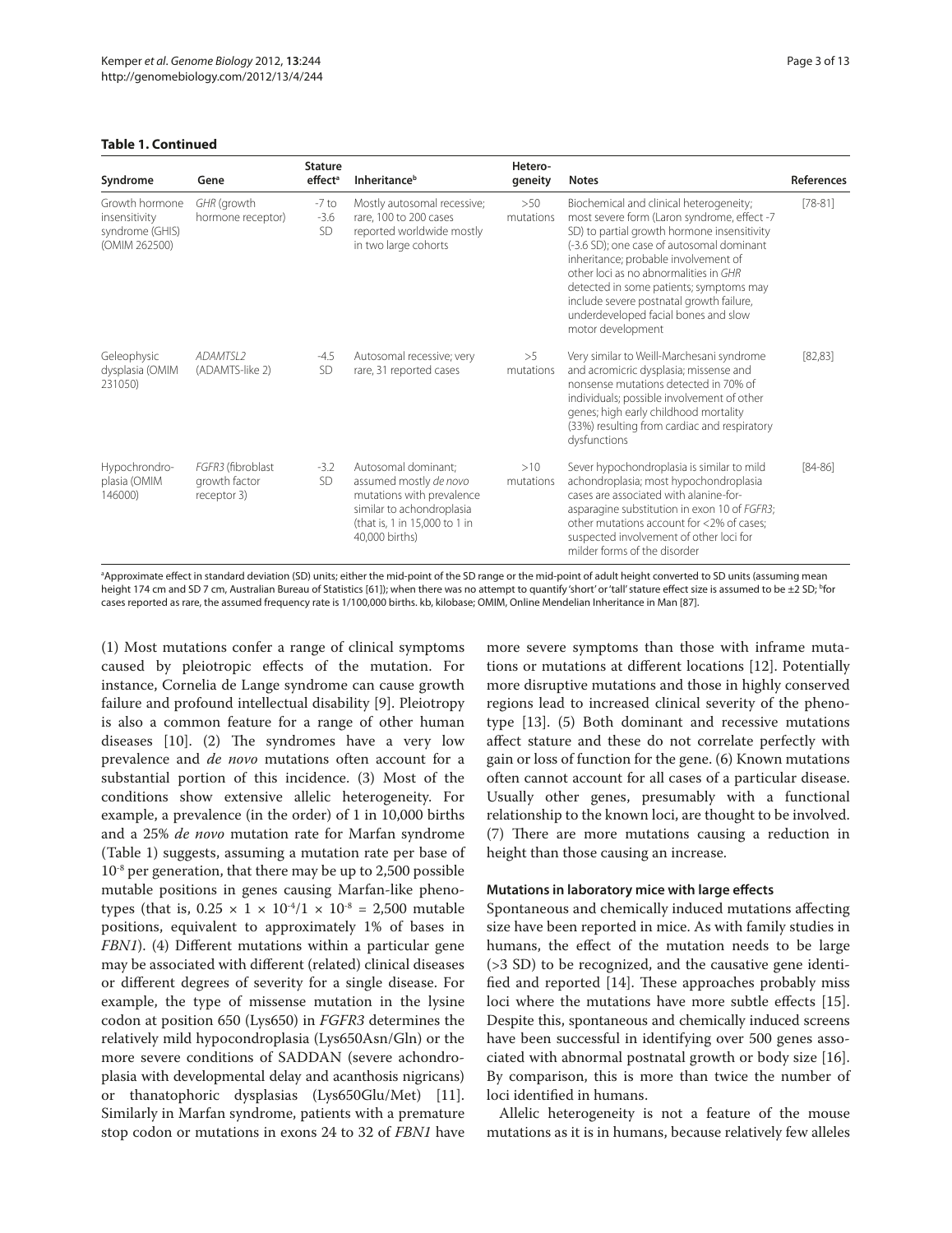#### **Table 1. Continued**

| Syndrome                                                            | Gene                                              | <b>Stature</b><br>effect <sup>a</sup> | <b>Inheritance</b> <sup>b</sup>                                                                                                                            | Hetero-<br>geneity | <b>Notes</b>                                                                                                                                                                                                                                                                                                                                                                                                            | <b>References</b> |
|---------------------------------------------------------------------|---------------------------------------------------|---------------------------------------|------------------------------------------------------------------------------------------------------------------------------------------------------------|--------------------|-------------------------------------------------------------------------------------------------------------------------------------------------------------------------------------------------------------------------------------------------------------------------------------------------------------------------------------------------------------------------------------------------------------------------|-------------------|
| Growth hormone<br>insensitivity<br>syndrome (GHIS)<br>(OMIM 262500) | GHR (growth<br>hormone receptor)                  | $-7$ to<br>$-3.6$<br><b>SD</b>        | Mostly autosomal recessive;<br>rare, 100 to 200 cases<br>reported worldwide mostly<br>in two large cohorts                                                 | >50<br>mutations   | Biochemical and clinical heterogeneity;<br>most severe form (Laron syndrome, effect -7<br>SD) to partial growth hormone insensitivity<br>(-3.6 SD); one case of autosomal dominant<br>inheritance; probable involvement of<br>other loci as no abnormalities in GHR<br>detected in some patients; symptoms may<br>include severe postnatal growth failure,<br>underdeveloped facial bones and slow<br>motor development | $[78-81]$         |
| Geleophysic<br>dysplasia (OMIM<br>231050)                           | ADAMTSI <sub>2</sub><br>(ADAMTS-like 2)           | $-4.5$<br><b>SD</b>                   | Autosomal recessive; very<br>rare, 31 reported cases                                                                                                       | >5<br>mutations    | Very similar to Weill-Marchesani syndrome<br>and acromicric dysplasia; missense and<br>nonsense mutations detected in 70% of<br>individuals; possible involvement of other<br>genes; high early childhood mortality<br>(33%) resulting from cardiac and respiratory<br>dysfunctions                                                                                                                                     | [82, 83]          |
| Hypochrondro-<br>plasia (OMIM<br>146000)                            | FGFR3 (fibroblast<br>growth factor<br>receptor 3) | $-3.2$<br><b>SD</b>                   | Autosomal dominant;<br>assumed mostly de novo<br>mutations with prevalence<br>similar to achondroplasia<br>(that is, 1 in 15,000 to 1 in<br>40,000 births) | >10<br>mutations   | Sever hypochondroplasia is similar to mild<br>achondroplasia; most hypochondroplasia<br>cases are associated with alanine-for-<br>asparagine substitution in exon 10 of FGFR3;<br>other mutations account for <2% of cases;<br>suspected involvement of other loci for<br>milder forms of the disorder                                                                                                                  | $[84 - 86]$       |

a Approximate effect in standard deviation (SD) units; either the mid-point of the SD range or the mid-point of adult height converted to SD units (assuming mean height 174 cm and SD 7 cm, Australian Bureau of Statistics [61]); when there was no attempt to quantify 'short' or 'tall' stature effect size is assumed to be ±2 SD; b for cases reported as rare, the assumed frequency rate is 1/100,000 births. kb, kilobase; OMIM, Online Mendelian Inheritance in Man [87].

(1) Most mutations confer a range of clinical symptoms caused by pleiotropic effects of the mutation. For instance, Cornelia de Lange syndrome can cause growth failure and profound intellectual disability [9]. Pleiotropy is also a common feature for a range of other human diseases [10]. (2) The syndromes have a very low prevalence and *de novo* mutations often account for a substantial portion of this incidence. (3) Most of the conditions show extensive allelic heterogeneity. For example, a prevalence (in the order) of 1 in 10,000 births and a 25% *de novo* mutation rate for Marfan syndrome (Table 1) suggests, assuming a mutation rate per base of 10-8 per generation, that there may be up to 2,500 possible mutable positions in genes causing Marfan-like phenotypes (that is,  $0.25 \times 1 \times 10^{-4}/1 \times 10^{-8} = 2,500$  mutable positions, equivalent to approximately 1% of bases in *FBN1*). (4) Different mutations within a particular gene may be associated with different (related) clinical diseases or different degrees of severity for a single disease. For example, the type of missense mutation in the lysine codon at position 650 (Lys650) in *FGFR3* determines the relatively mild hypocondroplasia (Lys650Asn/Gln) or the more severe conditions of SADDAN (severe achondroplasia with developmental delay and acanthosis nigricans) or thanatophoric dysplasias (Lys650Glu/Met) [11]. Similarly in Marfan syndrome, patients with a premature stop codon or mutations in exons 24 to 32 of *FBN1* have

more severe symptoms than those with inframe mutations or mutations at different locations [12]. Potentially more disruptive mutations and those in highly conserved regions lead to increased clinical severity of the phenotype [13]. (5) Both dominant and recessive mutations affect stature and these do not correlate perfectly with gain or loss of function for the gene. (6) Known mutations often cannot account for all cases of a particular disease. Usually other genes, presumably with a functional relationship to the known loci, are thought to be involved. (7) There are more mutations causing a reduction in height than those causing an increase.

#### **Mutations in laboratory mice with large effects**

Spontaneous and chemically induced mutations affecting size have been reported in mice. As with family studies in humans, the effect of the mutation needs to be large (>3 SD) to be recognized, and the causative gene identified and reported [14]. These approaches probably miss loci where the mutations have more subtle effects [15]. Despite this, spontaneous and chemically induced screens have been successful in identifying over 500 genes associated with abnormal postnatal growth or body size [16]. By comparison, this is more than twice the number of loci identified in humans.

Allelic heterogeneity is not a feature of the mouse mutations as it is in humans, because relatively few alleles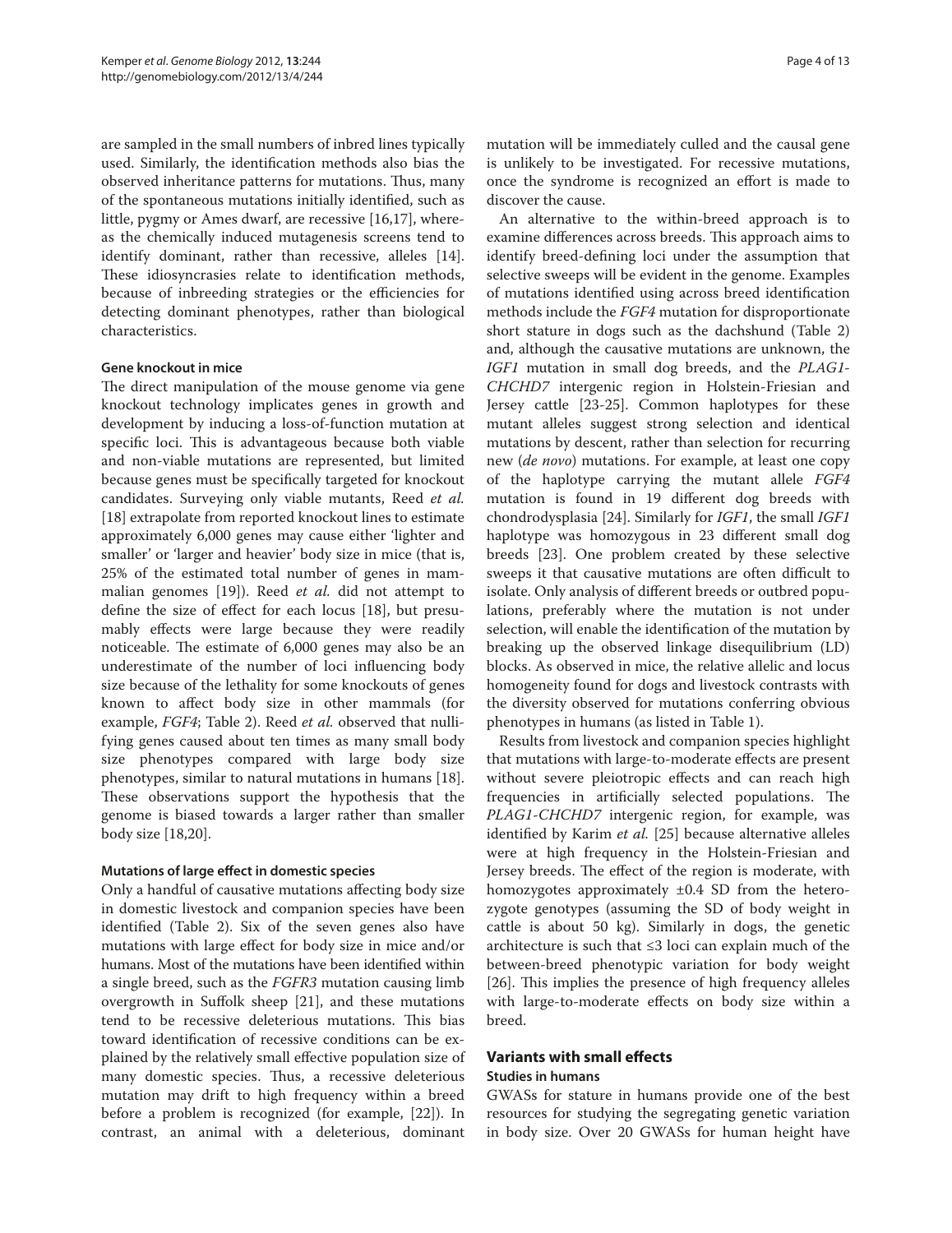are sampled in the small numbers of inbred lines typically used. Similarly, the identification methods also bias the observed inheritance patterns for mutations. Thus, many of the spontaneous mutations initially identified, such as little, pygmy or Ames dwarf, are recessive [16,17], whereas the chemically induced mutagenesis screens tend to identify dominant, rather than recessive, alleles [14]. These idiosyncrasies relate to identification methods, because of inbreeding strategies or the efficiencies for detecting dominant phenotypes, rather than biological characteristics.

## **Gene knockout in mice**

The direct manipulation of the mouse genome via gene knockout technology implicates genes in growth and development by inducing a loss-of-function mutation at specific loci. This is advantageous because both viable and non-viable mutations are represented, but limited because genes must be specifically targeted for knockout candidates. Surveying only viable mutants, Reed *et al.*  [18] extrapolate from reported knockout lines to estimate approximately 6,000 genes may cause either 'lighter and smaller' or 'larger and heavier' body size in mice (that is, 25% of the estimated total number of genes in mammalian genomes [19]). Reed *et al.* did not attempt to define the size of effect for each locus [18], but presumably effects were large because they were readily noticeable. The estimate of 6,000 genes may also be an underestimate of the number of loci influencing body size because of the lethality for some knockouts of genes known to affect body size in other mammals (for example, *FGF4*; Table 2). Reed *et al.* observed that nullifying genes caused about ten times as many small body size phenotypes compared with large body size phenotypes, similar to natural mutations in humans [18]. These observations support the hypothesis that the genome is biased towards a larger rather than smaller body size [18,20].

## **Mutations of large effect in domestic species**

Only a handful of causative mutations affecting body size in domestic livestock and companion species have been identified (Table 2). Six of the seven genes also have mutations with large effect for body size in mice and/or humans. Most of the mutations have been identified within a single breed, such as the *FGFR3* mutation causing limb overgrowth in Suffolk sheep [21], and these mutations tend to be recessive deleterious mutations. This bias toward identification of recessive conditions can be explained by the relatively small effective population size of many domestic species. Thus, a recessive deleterious mutation may drift to high frequency within a breed before a problem is recognized (for example, [22]). In contrast, an animal with a deleterious, dominant mutation will be immediately culled and the causal gene is unlikely to be investigated. For recessive mutations, once the syndrome is recognized an effort is made to discover the cause.

An alternative to the within-breed approach is to examine differences across breeds. This approach aims to identify breed-defining loci under the assumption that selective sweeps will be evident in the genome. Examples of mutations identified using across breed identification methods include the *FGF4* mutation for disproportionate short stature in dogs such as the dachshund (Table 2) and, although the causative mutations are unknown, the *IGF1* mutation in small dog breeds, and the *PLAG1- CHCHD7* intergenic region in Holstein-Friesian and Jersey cattle [23-25]. Common haplotypes for these mutant alleles suggest strong selection and identical mutations by descent, rather than selection for recurring new (*de novo*) mutations. For example, at least one copy of the haplotype carrying the mutant allele *FGF4* mutation is found in 19 different dog breeds with chondrodysplasia [24]. Similarly for *IGF1*, the small *IGF1*  haplotype was homozygous in 23 different small dog breeds [23]. One problem created by these selective sweeps it that causative mutations are often difficult to isolate. Only analysis of different breeds or outbred populations, preferably where the mutation is not under selection, will enable the identification of the mutation by breaking up the observed linkage disequilibrium (LD) blocks. As observed in mice, the relative allelic and locus homogeneity found for dogs and livestock contrasts with the diversity observed for mutations conferring obvious phenotypes in humans (as listed in Table 1).

Results from livestock and companion species highlight that mutations with large-to-moderate effects are present without severe pleiotropic effects and can reach high frequencies in artificially selected populations. The *PLAG1*-*CHCHD7* intergenic region, for example, was identified by Karim *et al.* [25] because alternative alleles were at high frequency in the Holstein-Friesian and Jersey breeds. The effect of the region is moderate, with homozygotes approximately  $\pm 0.4$  SD from the heterozygote genotypes (assuming the SD of body weight in cattle is about 50 kg). Similarly in dogs, the genetic architecture is such that ≤3 loci can explain much of the between-breed phenotypic variation for body weight [26]. This implies the presence of high frequency alleles with large-to-moderate effects on body size within a breed.

## **Variants with small effects**

#### **Studies in humans**

GWASs for stature in humans provide one of the best resources for studying the segregating genetic variation in body size. Over 20 GWASs for human height have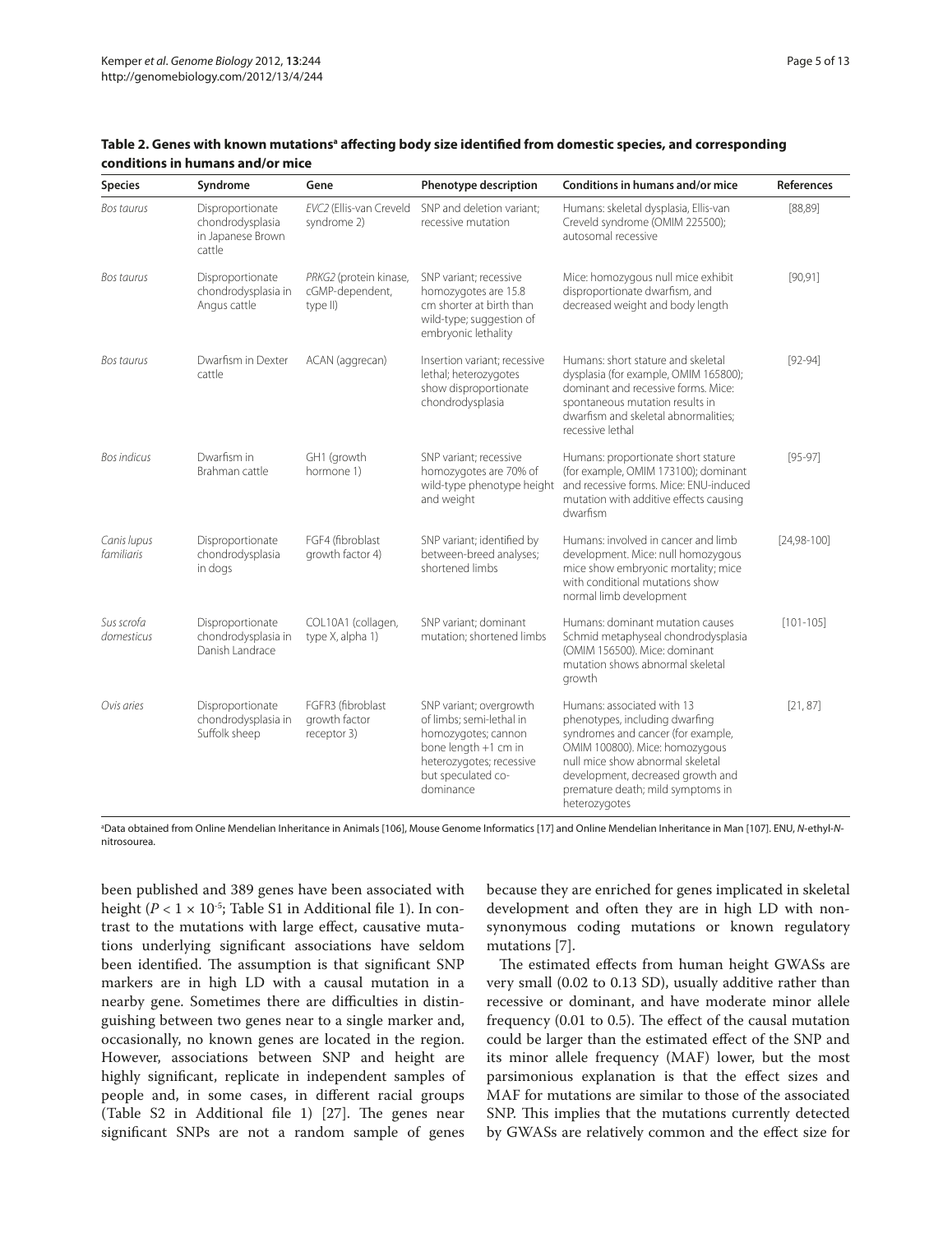| Table 2. Genes with known mutations <sup>ª</sup> affecting body size identified from domestic species, and corresponding |  |  |
|--------------------------------------------------------------------------------------------------------------------------|--|--|
| conditions in humans and/or mice                                                                                         |  |  |

| <b>Species</b>            | Syndrome                                                            | Gene                                                  | Phenotype description                                                                                                                                             | Conditions in humans and/or mice                                                                                                                                                                                                                                    | <b>References</b> |
|---------------------------|---------------------------------------------------------------------|-------------------------------------------------------|-------------------------------------------------------------------------------------------------------------------------------------------------------------------|---------------------------------------------------------------------------------------------------------------------------------------------------------------------------------------------------------------------------------------------------------------------|-------------------|
| Bos taurus                | Disproportionate<br>chondrodysplasia<br>in Japanese Brown<br>cattle | EVC2 (Ellis-van Creveld<br>syndrome 2)                | SNP and deletion variant;<br>recessive mutation                                                                                                                   | Humans: skeletal dysplasia, Ellis-van<br>Creveld syndrome (OMIM 225500);<br>autosomal recessive                                                                                                                                                                     | [88, 89]          |
| Bos taurus                | Disproportionate<br>chondrodysplasia in<br>Angus cattle             | PRKG2 (protein kinase,<br>cGMP-dependent,<br>type II) | SNP variant: recessive<br>homozygotes are 15.8<br>cm shorter at birth than<br>wild-type; suggestion of<br>embryonic lethality                                     | Mice: homozygous null mice exhibit<br>disproportionate dwarfism, and<br>decreased weight and body length                                                                                                                                                            | [90, 91]          |
| Bos taurus                | Dwarfism in Dexter<br>cattle                                        | ACAN (aggrecan)                                       | Insertion variant: recessive<br>lethal; heterozygotes<br>show disproportionate<br>chondrodysplasia                                                                | Humans: short stature and skeletal<br>dysplasia (for example, OMIM 165800);<br>dominant and recessive forms. Mice:<br>spontaneous mutation results in<br>dwarfism and skeletal abnormalities;<br>recessive lethal                                                   | $[92 - 94]$       |
| <b>Bos indicus</b>        | Dwarfism in<br>Brahman cattle                                       | GH1 (growth<br>hormone 1)                             | SNP variant: recessive<br>homozygotes are 70% of<br>wild-type phenotype height<br>and weight                                                                      | Humans: proportionate short stature<br>(for example, OMIM 173100); dominant<br>and recessive forms. Mice: ENU-induced<br>mutation with additive effects causing<br>dwarfism                                                                                         | $[95-97]$         |
| Canis lupus<br>familiaris | Disproportionate<br>chondrodysplasia<br>in dogs                     | FGF4 (fibroblast<br>growth factor 4)                  | SNP variant; identified by<br>between-breed analyses;<br>shortened limbs                                                                                          | Humans: involved in cancer and limb<br>development. Mice: null homozygous<br>mice show embryonic mortality; mice<br>with conditional mutations show<br>normal limb development                                                                                      | $[24,98-100]$     |
| Sus scrofa<br>domesticus  | Disproportionate<br>chondrodysplasia in<br>Danish Landrace          | COL10A1 (collagen,<br>type X, alpha 1)                | SNP variant: dominant<br>mutation; shortened limbs                                                                                                                | Humans: dominant mutation causes<br>Schmid metaphyseal chondrodysplasia<br>(OMIM 156500). Mice: dominant<br>mutation shows abnormal skeletal<br>growth                                                                                                              | $[101 - 105]$     |
| Ovis aries                | Disproportionate<br>chondrodysplasia in<br>Suffolk sheep            | FGFR3 (fibroblast<br>growth factor<br>receptor 3)     | SNP variant; overgrowth<br>of limbs; semi-lethal in<br>homozygotes; cannon<br>bone length +1 cm in<br>heterozygotes; recessive<br>but speculated co-<br>dominance | Humans: associated with 13<br>phenotypes, including dwarfing<br>syndromes and cancer (for example,<br>OMIM 100800). Mice: homozygous<br>null mice show abnormal skeletal<br>development, decreased growth and<br>premature death; mild symptoms in<br>heterozygotes | [21, 87]          |

a Data obtained from Online Mendelian Inheritance in Animals [106], Mouse Genome Informatics [17] and Online Mendelian Inheritance in Man [107]. ENU, *N*-ethyl-*N*nitrosourea.

been published and 389 genes have been associated with height (*P* < 1 × 10-5 ; Table S1 in Additional file 1). In contrast to the mutations with large effect, causative mutations underlying significant associations have seldom been identified. The assumption is that significant SNP markers are in high LD with a causal mutation in a nearby gene. Sometimes there are difficulties in distinguishing between two genes near to a single marker and, occasionally, no known genes are located in the region. However, associations between SNP and height are highly significant, replicate in independent samples of people and, in some cases, in different racial groups (Table S2 in Additional file 1) [27]. The genes near significant SNPs are not a random sample of genes because they are enriched for genes implicated in skeletal development and often they are in high LD with nonsynonymous coding mutations or known regulatory mutations [7].

The estimated effects from human height GWASs are very small (0.02 to 0.13 SD), usually additive rather than recessive or dominant, and have moderate minor allele frequency (0.01 to 0.5). The effect of the causal mutation could be larger than the estimated effect of the SNP and its minor allele frequency (MAF) lower, but the most parsimonious explanation is that the effect sizes and MAF for mutations are similar to those of the associated SNP. This implies that the mutations currently detected by GWASs are relatively common and the effect size for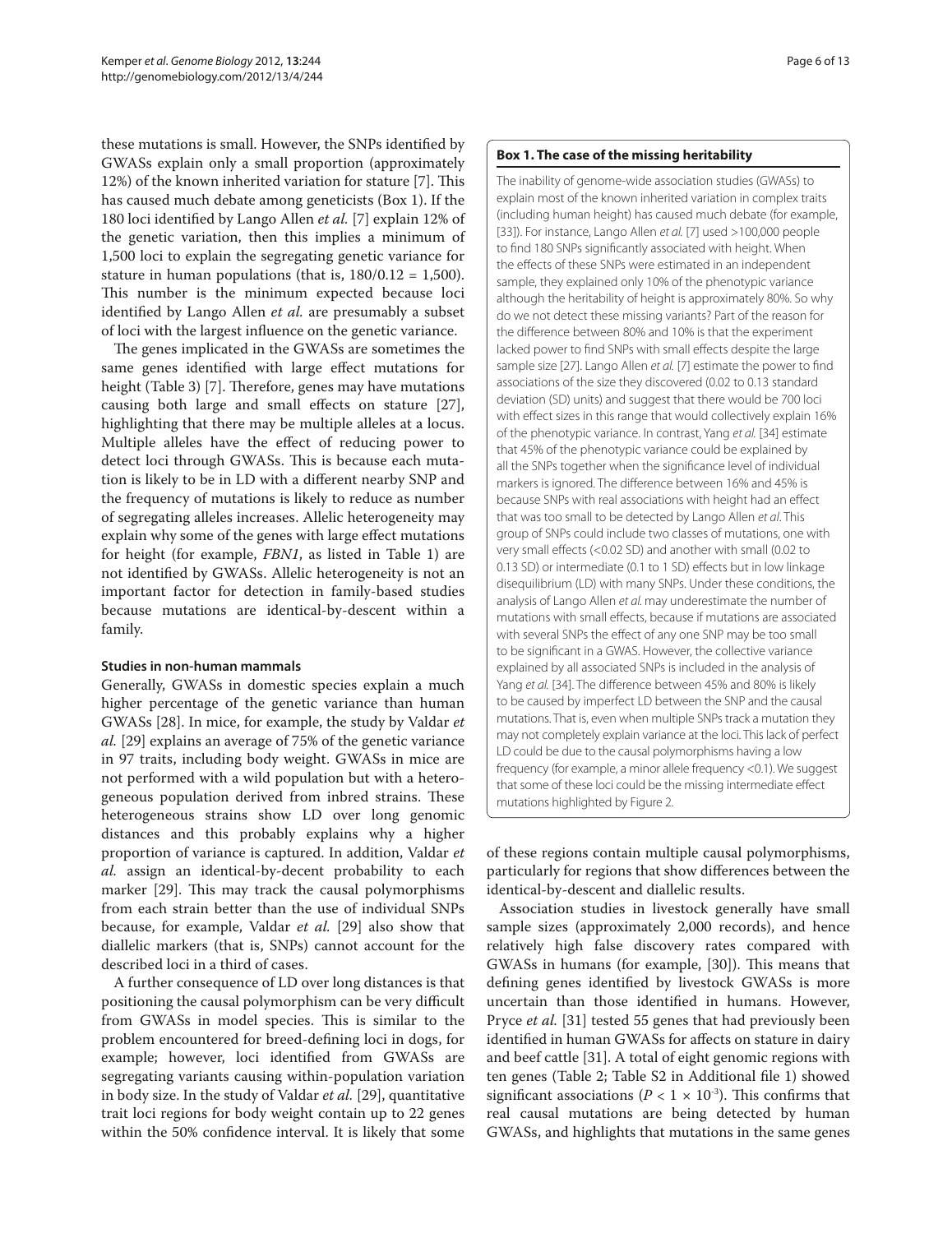these mutations is small. However, the SNPs identified by GWASs explain only a small proportion (approximately 12%) of the known inherited variation for stature [7]. This has caused much debate among geneticists (Box 1). If the 180 loci identified by Lango Allen *et al.* [7] explain 12% of the genetic variation, then this implies a minimum of 1,500 loci to explain the segregating genetic variance for stature in human populations (that is,  $180/0.12 = 1,500$ ). This number is the minimum expected because loci identified by Lango Allen *et al.* are presumably a subset of loci with the largest influence on the genetic variance.

The genes implicated in the GWASs are sometimes the same genes identified with large effect mutations for height (Table 3) [7]. Therefore, genes may have mutations causing both large and small effects on stature [27], highlighting that there may be multiple alleles at a locus. Multiple alleles have the effect of reducing power to detect loci through GWASs. This is because each mutation is likely to be in LD with a different nearby SNP and the frequency of mutations is likely to reduce as number of segregating alleles increases. Allelic heterogeneity may explain why some of the genes with large effect mutations for height (for example, *FBN1*, as listed in Table 1) are not identified by GWASs. Allelic heterogeneity is not an important factor for detection in family-based studies because mutations are identical-by-descent within a family.

## **Studies in non-human mammals**

Generally, GWASs in domestic species explain a much higher percentage of the genetic variance than human GWASs [28]. In mice, for example, the study by Valdar *et al.* [29] explains an average of 75% of the genetic variance in 97 traits, including body weight. GWASs in mice are not performed with a wild population but with a heterogeneous population derived from inbred strains. These heterogeneous strains show LD over long genomic distances and this probably explains why a higher proportion of variance is captured. In addition, Valdar *et al.* assign an identical-by-decent probability to each marker [29]. This may track the causal polymorphisms from each strain better than the use of individual SNPs because, for example, Valdar *et al.* [29] also show that diallelic markers (that is, SNPs) cannot account for the described loci in a third of cases.

A further consequence of LD over long distances is that positioning the causal polymorphism can be very difficult from GWASs in model species. This is similar to the problem encountered for breed-defining loci in dogs, for example; however, loci identified from GWASs are segregating variants causing within-population variation in body size. In the study of Valdar *et al.* [29], quantitative trait loci regions for body weight contain up to 22 genes within the 50% confidence interval. It is likely that some

### **Box 1. The case of the missing heritability**

The inability of genome-wide association studies (GWASs) to explain most of the known inherited variation in complex traits (including human height) has caused much debate (for example, [33]). For instance, Lango Allen *et al.* [7] used >100,000 people to find 180 SNPs significantly associated with height. When the effects of these SNPs were estimated in an independent sample, they explained only 10% of the phenotypic variance although the heritability of height is approximately 80%. So why do we not detect these missing variants? Part of the reason for the difference between 80% and 10% is that the experiment lacked power to find SNPs with small effects despite the large sample size [27]. Lango Allen *et al.* [7] estimate the power to find associations of the size they discovered (0.02 to 0.13 standard deviation (SD) units) and suggest that there would be 700 loci with effect sizes in this range that would collectively explain 16% of the phenotypic variance. In contrast, Yang *et al.* [34] estimate that 45% of the phenotypic variance could be explained by all the SNPs together when the significance level of individual markers is ignored. The difference between 16% and 45% is because SNPs with real associations with height had an effect that was too small to be detected by Lango Allen *et al*. This group of SNPs could include two classes of mutations, one with very small effects (<0.02 SD) and another with small (0.02 to 0.13 SD) or intermediate (0.1 to 1 SD) effects but in low linkage disequilibrium (LD) with many SNPs. Under these conditions, the analysis of Lango Allen *et al.* may underestimate the number of mutations with small effects, because if mutations are associated with several SNPs the effect of any one SNP may be too small to be significant in a GWAS. However, the collective variance explained by all associated SNPs is included in the analysis of Yang *et al.* [34]. The difference between 45% and 80% is likely to be caused by imperfect LD between the SNP and the causal mutations. That is, even when multiple SNPs track a mutation they may not completely explain variance at the loci. This lack of perfect LD could be due to the causal polymorphisms having a low frequency (for example, a minor allele frequency <0.1). We suggest that some of these loci could be the missing intermediate effect mutations highlighted by Figure 2.

of these regions contain multiple causal polymorphisms, particularly for regions that show differences between the identical-by-descent and diallelic results.

Association studies in livestock generally have small sample sizes (approximately 2,000 records), and hence relatively high false discovery rates compared with GWASs in humans (for example, [30]). This means that defining genes identified by livestock GWASs is more uncertain than those identified in humans. However, Pryce *et al.* [31] tested 55 genes that had previously been identified in human GWASs for affects on stature in dairy and beef cattle [31]. A total of eight genomic regions with ten genes (Table 2; Table S2 in Additional file 1) showed significant associations ( $P < 1 \times 10^{-3}$ ). This confirms that real causal mutations are being detected by human GWASs, and highlights that mutations in the same genes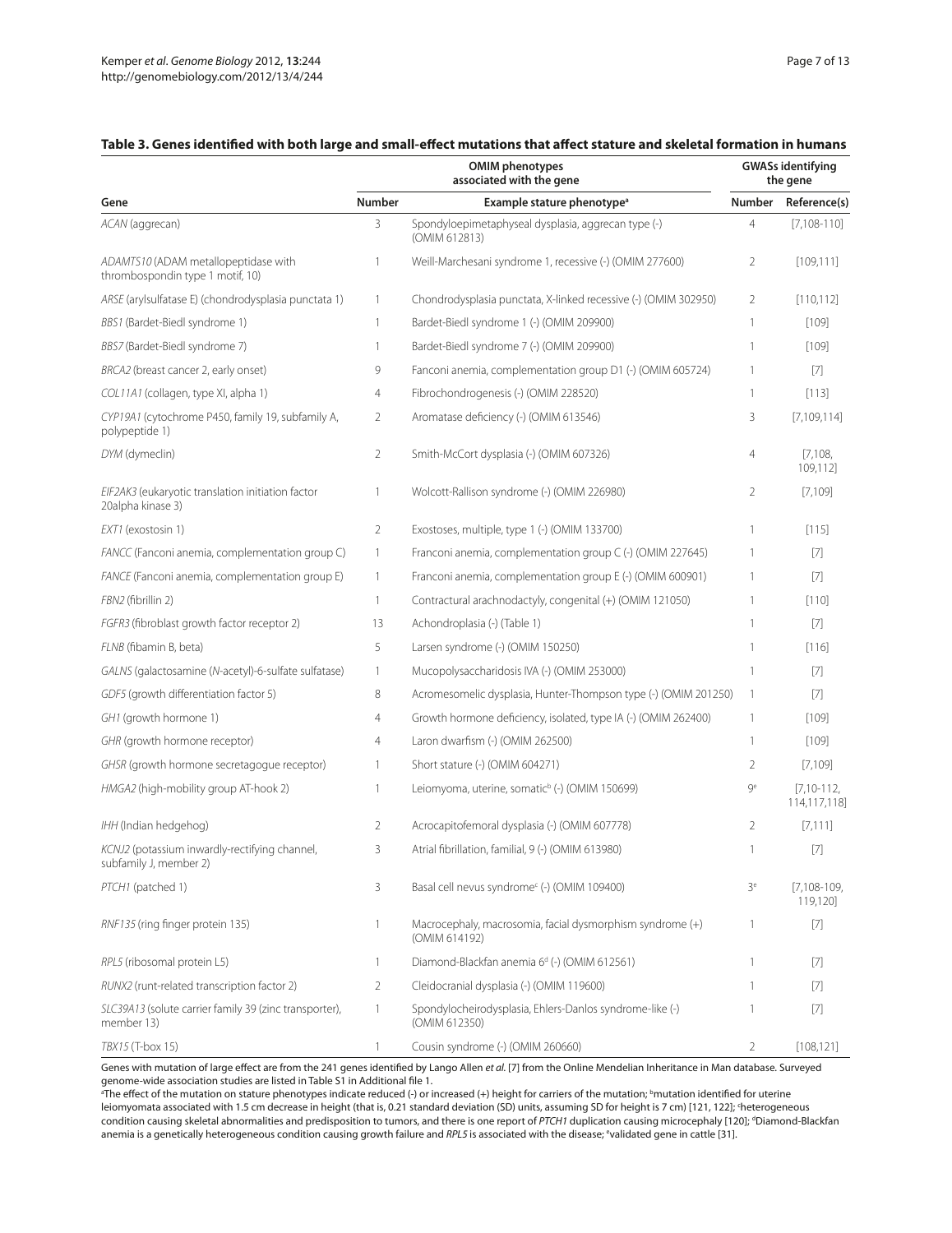|                                                                          | <b>OMIM</b> phenotypes<br>associated with the gene |                                                                            |                | <b>GWASs identifying</b><br>the gene                                                                                                                                                                                                                |  |
|--------------------------------------------------------------------------|----------------------------------------------------|----------------------------------------------------------------------------|----------------|-----------------------------------------------------------------------------------------------------------------------------------------------------------------------------------------------------------------------------------------------------|--|
| Gene                                                                     | <b>Number</b>                                      | Example stature phenotype <sup>a</sup>                                     |                | Number<br>Reference(s)                                                                                                                                                                                                                              |  |
| ACAN (aggrecan)                                                          | 3                                                  | Spondyloepimetaphyseal dysplasia, aggrecan type (-)<br>(OMIM 612813)       | $\overline{4}$ | $[7,108 - 110]$                                                                                                                                                                                                                                     |  |
| ADAMTS10 (ADAM metallopeptidase with<br>thrombospondin type 1 motif, 10) | 1                                                  | Weill-Marchesani syndrome 1, recessive (-) (OMIM 277600)                   | 2              | [109, 111]                                                                                                                                                                                                                                          |  |
| ARSE (arylsulfatase E) (chondrodysplasia punctata 1)                     | $\mathbf{1}$                                       | Chondrodysplasia punctata, X-linked recessive (-) (OMIM 302950)            | 2              | [110, 112]                                                                                                                                                                                                                                          |  |
| BBS1 (Bardet-Biedl syndrome 1)                                           | 1                                                  | Bardet-Biedl syndrome 1 (-) (OMIM 209900)                                  | 1              | $[109]$                                                                                                                                                                                                                                             |  |
| BBS7 (Bardet-Biedl syndrome 7)                                           | $\mathbf{1}$                                       | Bardet-Biedl syndrome 7 (-) (OMIM 209900)                                  | 1              | [109]                                                                                                                                                                                                                                               |  |
| BRCA2 (breast cancer 2, early onset)                                     | 9                                                  | Fanconi anemia, complementation group D1 (-) (OMIM 605724)                 | $\mathbf{1}$   | $[7]$                                                                                                                                                                                                                                               |  |
| COL11A1 (collagen, type XI, alpha 1)                                     | $\overline{4}$                                     | Fibrochondrogenesis (-) (OMIM 228520)                                      | 1              | [113]                                                                                                                                                                                                                                               |  |
| CYP19A1 (cytochrome P450, family 19, subfamily A,<br>polypeptide 1)      | 2                                                  | Aromatase deficiency (-) (OMIM 613546)                                     | 3              | [7,109,114]                                                                                                                                                                                                                                         |  |
| DYM (dymeclin)                                                           | $\overline{2}$                                     | Smith-McCort dysplasia (-) (OMIM 607326)                                   | $\overline{4}$ | [7,108,<br>109,112]                                                                                                                                                                                                                                 |  |
| EIF2AK3 (eukaryotic translation initiation factor<br>20alpha kinase 3)   | 1                                                  | Wolcott-Rallison syndrome (-) (OMIM 226980)                                | $\overline{2}$ | [7,109]                                                                                                                                                                                                                                             |  |
| EXT1 (exostosin 1)                                                       | $\overline{2}$                                     | Exostoses, multiple, type 1 (-) (OMIM 133700)                              |                | [115]                                                                                                                                                                                                                                               |  |
| FANCC (Fanconi anemia, complementation group C)                          | $\mathbf{1}$                                       | Franconi anemia, complementation group C (-) (OMIM 227645)                 |                | $[7]$                                                                                                                                                                                                                                               |  |
| FANCE (Fanconi anemia, complementation group E)                          | $\mathbf{1}$                                       | Franconi anemia, complementation group E (-) (OMIM 600901)                 | 1              | $[7]$                                                                                                                                                                                                                                               |  |
| FBN2 (fibrillin 2)                                                       | $\mathbf{1}$                                       | Contractural arachnodactyly, congenital (+) (OMIM 121050)                  |                | [110]                                                                                                                                                                                                                                               |  |
| FGFR3 (fibroblast growth factor receptor 2)                              | 13                                                 | Achondroplasia (-) (Table 1)                                               | 1              | $[7]$                                                                                                                                                                                                                                               |  |
| FLNB (fibamin B, beta)                                                   | 5                                                  | Larsen syndrome (-) (OMIM 150250)                                          |                | [116]                                                                                                                                                                                                                                               |  |
| GALNS (galactosamine (N-acetyl)-6-sulfate sulfatase)                     | $\mathbf{1}$                                       | Mucopolysaccharidosis IVA (-) (OMIM 253000)                                | 1              | $[7]$                                                                                                                                                                                                                                               |  |
| GDF5 (growth differentiation factor 5)                                   | 8                                                  | Acromesomelic dysplasia, Hunter-Thompson type (-) (OMIM 201250)            | 1              | $[7]$                                                                                                                                                                                                                                               |  |
| GH1 (growth hormone 1)                                                   | $\overline{4}$                                     | Growth hormone deficiency, isolated, type IA (-) (OMIM 262400)             | 1              | [109]                                                                                                                                                                                                                                               |  |
| GHR (growth hormone receptor)                                            | $\overline{4}$                                     | Laron dwarfism (-) (OMIM 262500)                                           | 1              | [109]                                                                                                                                                                                                                                               |  |
| GHSR (growth hormone secretagogue receptor)                              | 1                                                  | Short stature (-) (OMIM 604271)                                            | $\overline{2}$ | [7,109]                                                                                                                                                                                                                                             |  |
| HMGA2 (high-mobility group AT-hook 2)                                    | 1                                                  | Leiomyoma, uterine, somatic <sup>b</sup> (-) (OMIM 150699)                 | 9e             | $[7,10-112,$<br>114,117,118]                                                                                                                                                                                                                        |  |
| IHH (Indian hedgehog)                                                    | $\overline{2}$                                     | Acrocapitofemoral dysplasia (-) (OMIM 607778)                              | 2              | [7,111]                                                                                                                                                                                                                                             |  |
| KCNJ2 (potassium inwardly-rectifying channel,<br>subfamily J, member 2)  | 3                                                  | Atrial fibrillation, familial, 9 (-) (OMIM 613980)                         | $\mathbf{1}$   | $[7] \centering% \includegraphics[width=1\textwidth]{images/TransY.pdf} \caption{The first two different values of $d=3$ and $d=4$ (left) and $d=5$ (right) and $d=6$ (right). The first two different values of $d=2$ (right).} \label{fig:class}$ |  |
| PTCH1 (patched 1)                                                        | 3                                                  | Basal cell nevus syndrome <sup>c</sup> (-) (OMIM 109400)                   | 3e             | $[7,108-109,$<br>119,120]                                                                                                                                                                                                                           |  |
| RNF135 (ring finger protein 135)                                         | 1                                                  | Macrocephaly, macrosomia, facial dysmorphism syndrome (+)<br>(OMIM 614192) | 1              | $[7]$                                                                                                                                                                                                                                               |  |
| RPL5 (ribosomal protein L5)                                              | 1                                                  | Diamond-Blackfan anemia 6 <sup>d</sup> (-) (OMIM 612561)                   | 1              | $[7]$                                                                                                                                                                                                                                               |  |
| RUNX2 (runt-related transcription factor 2)                              | 2                                                  | Cleidocranial dysplasia (-) (OMIM 119600)                                  |                | $[7]$                                                                                                                                                                                                                                               |  |
| SLC39A13 (solute carrier family 39 (zinc transporter),<br>member 13)     | 1                                                  | Spondylocheirodysplasia, Ehlers-Danlos syndrome-like (-)<br>(OMIM 612350)  |                | $[7]$                                                                                                                                                                                                                                               |  |
| TBX15 (T-box 15)                                                         | 1                                                  | Cousin syndrome (-) (OMIM 260660)                                          | $\overline{2}$ | [108, 121]                                                                                                                                                                                                                                          |  |

### **Table 3. Genes identified with both large and small-effect mutations that affect stature and skeletal formation in humans**

Genes with mutation of large effect are from the 241 genes identified by Lango Allen *et al.* [7] from the Online Mendelian Inheritance in Man database. Surveyed genome-wide association studies are listed in Table S1 in Additional file 1.<br>ªThe effect of the mutation on stature phenotypes indicate reduced (-) or increased (+) height for carriers of the mutation; <sup>b</sup>mutation identifi

leiomyomata associated with 1.5 cm decrease in height (that is, 0.21 standard deviation (SD) units, assuming SD for height is 7 cm) [121, 122]; c heterogeneous condition causing skeletal abnormalities and predisposition to tumors, and there is one report of PTCH1 duplication causing microcephaly [120]; <sup>d</sup>Diamond-Blackfan anemia is a genetically heterogeneous condition causing growth failure and RPL5 is associated with the disease; <sup>e</sup>validated gene in cattle [31].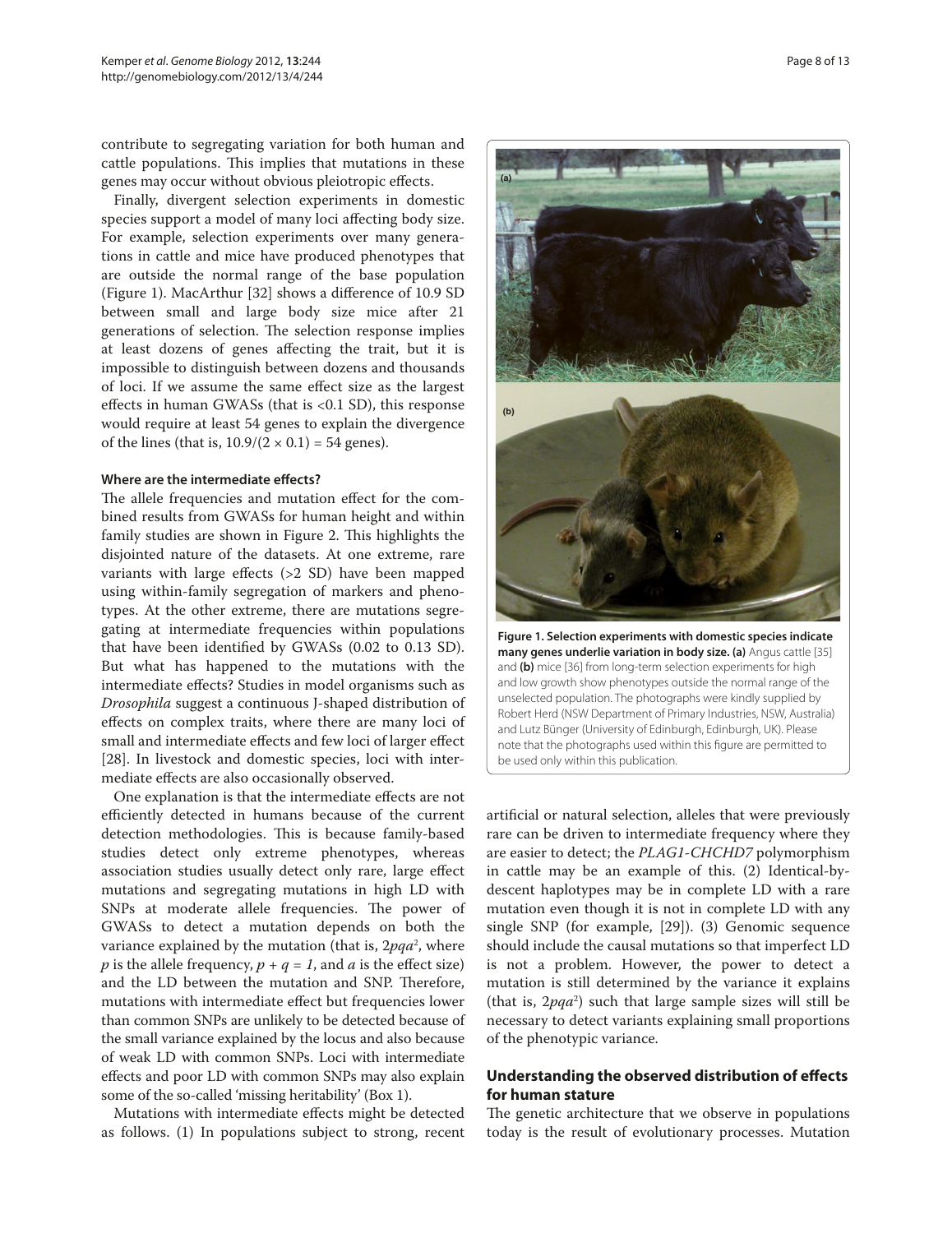contribute to segregating variation for both human and cattle populations. This implies that mutations in these genes may occur without obvious pleiotropic effects.

Finally, divergent selection experiments in domestic species support a model of many loci affecting body size. For example, selection experiments over many generations in cattle and mice have produced phenotypes that are outside the normal range of the base population (Figure 1). MacArthur [32] shows a difference of 10.9 SD between small and large body size mice after 21 generations of selection. The selection response implies at least dozens of genes affecting the trait, but it is impossible to distinguish between dozens and thousands of loci. If we assume the same effect size as the largest effects in human GWASs (that is <0.1 SD), this response would require at least 54 genes to explain the divergence of the lines (that is,  $10.9/(2 \times 0.1) = 54$  genes).

### **Where are the intermediate effects?**

The allele frequencies and mutation effect for the combined results from GWASs for human height and within family studies are shown in Figure 2. This highlights the disjointed nature of the datasets. At one extreme, rare variants with large effects (>2 SD) have been mapped using within-family segregation of markers and phenotypes. At the other extreme, there are mutations segregating at intermediate frequencies within populations that have been identified by GWASs (0.02 to 0.13 SD). But what has happened to the mutations with the intermediate effects? Studies in model organisms such as *Drosophila* suggest a continuous J-shaped distribution of effects on complex traits, where there are many loci of small and intermediate effects and few loci of larger effect [28]. In livestock and domestic species, loci with intermediate effects are also occasionally observed.

One explanation is that the intermediate effects are not efficiently detected in humans because of the current detection methodologies. This is because family-based studies detect only extreme phenotypes, whereas association studies usually detect only rare, large effect mutations and segregating mutations in high LD with SNPs at moderate allele frequencies. The power of GWASs to detect a mutation depends on both the variance explained by the mutation (that is, 2*pqa*<sup>2</sup> , where *p* is the allele frequency,  $p + q = 1$ , and *a* is the effect size) and the LD between the mutation and SNP. Therefore, mutations with intermediate effect but frequencies lower than common SNPs are unlikely to be detected because of the small variance explained by the locus and also because of weak LD with common SNPs. Loci with intermediate effects and poor LD with common SNPs may also explain some of the so-called 'missing heritability' (Box 1).

Mutations with intermediate effects might be detected as follows. (1) In populations subject to strong, recent



artificial or natural selection, alleles that were previously rare can be driven to intermediate frequency where they are easier to detect; the *PLAG1-CHCHD7* polymorphism in cattle may be an example of this. (2) Identical-bydescent haplotypes may be in complete LD with a rare mutation even though it is not in complete LD with any single SNP (for example, [29]). (3) Genomic sequence should include the causal mutations so that imperfect LD is not a problem. However, the power to detect a mutation is still determined by the variance it explains (that is, 2*pqa*<sup>2</sup> ) such that large sample sizes will still be necessary to detect variants explaining small proportions of the phenotypic variance.

# **Understanding the observed distribution of effects for human stature**

The genetic architecture that we observe in populations today is the result of evolutionary processes. Mutation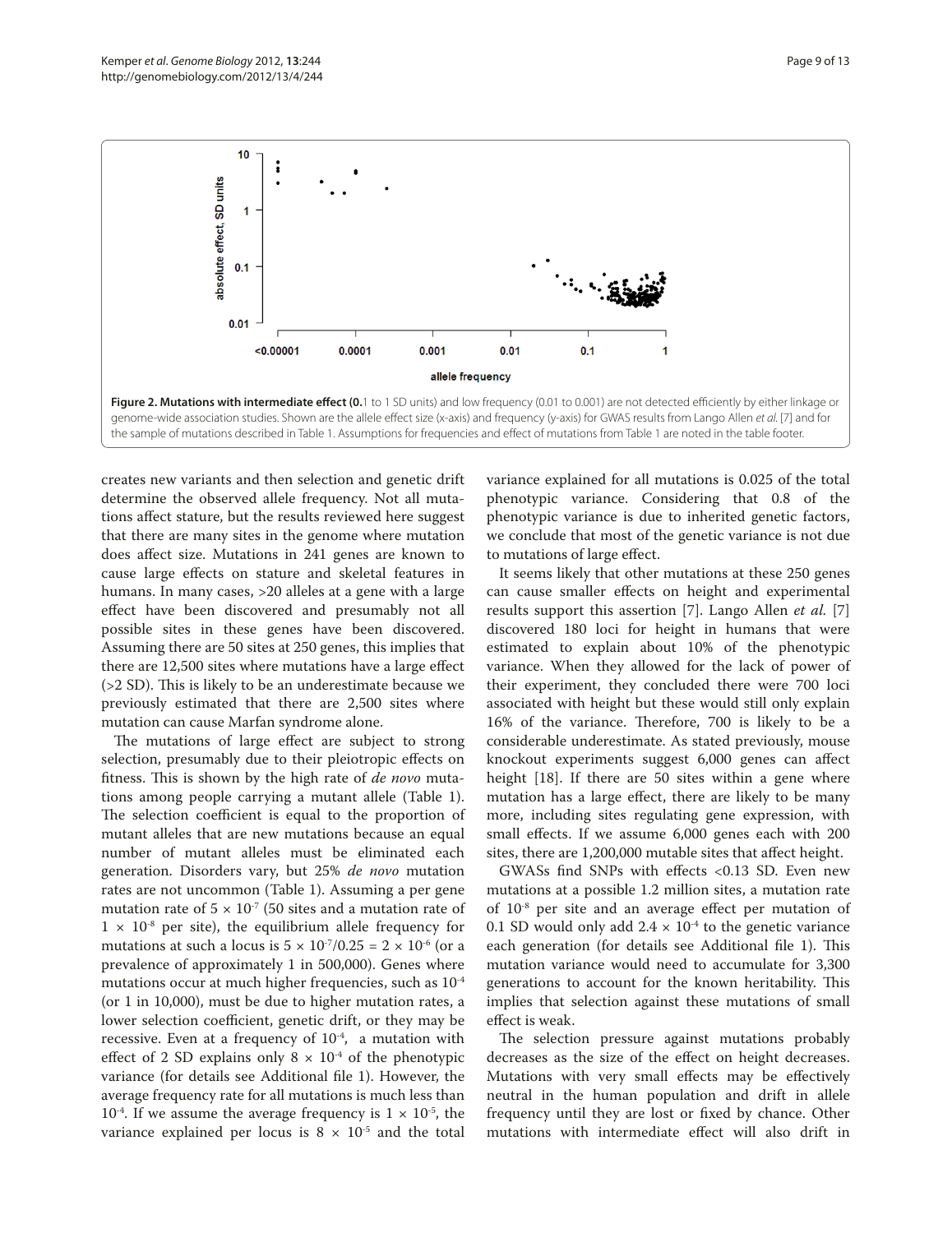

creates new variants and then selection and genetic drift determine the observed allele frequency. Not all mutations affect stature, but the results reviewed here suggest that there are many sites in the genome where mutation does affect size. Mutations in 241 genes are known to cause large effects on stature and skeletal features in humans. In many cases, >20 alleles at a gene with a large effect have been discovered and presumably not all possible sites in these genes have been discovered. Assuming there are 50 sites at 250 genes, this implies that there are 12,500 sites where mutations have a large effect (>2 SD). This is likely to be an underestimate because we previously estimated that there are 2,500 sites where mutation can cause Marfan syndrome alone.

The mutations of large effect are subject to strong selection, presumably due to their pleiotropic effects on fitness. This is shown by the high rate of *de novo* mutations among people carrying a mutant allele (Table 1). The selection coefficient is equal to the proportion of mutant alleles that are new mutations because an equal number of mutant alleles must be eliminated each generation. Disorders vary, but 25% *de novo* mutation rates are not uncommon (Table 1). Assuming a per gene mutation rate of  $5 \times 10^7$  (50 sites and a mutation rate of  $1 \times 10^{-8}$  per site), the equilibrium allele frequency for mutations at such a locus is  $5 \times 10^{-7}/0.25 = 2 \times 10^{-6}$  (or a prevalence of approximately 1 in 500,000). Genes where mutations occur at much higher frequencies, such as 10-4 (or 1 in 10,000), must be due to higher mutation rates, a lower selection coefficient, genetic drift, or they may be recessive. Even at a frequency of 10-4 , a mutation with effect of 2 SD explains only  $8 \times 10^{-4}$  of the phenotypic variance (for details see Additional file 1). However, the average frequency rate for all mutations is much less than  $10^{-4}$ . If we assume the average frequency is  $1 \times 10^{-5}$ , the variance explained per locus is  $8 \times 10^{-5}$  and the total

variance explained for all mutations is 0.025 of the total phenotypic variance. Considering that 0.8 of the phenotypic variance is due to inherited genetic factors, we conclude that most of the genetic variance is not due to mutations of large effect.

It seems likely that other mutations at these 250 genes can cause smaller effects on height and experimental results support this assertion [7]. Lango Allen *et al.* [7] discovered 180 loci for height in humans that were estimated to explain about 10% of the phenotypic variance. When they allowed for the lack of power of their experiment, they concluded there were 700 loci associated with height but these would still only explain 16% of the variance. Therefore, 700 is likely to be a considerable underestimate. As stated previously, mouse knockout experiments suggest 6,000 genes can affect height [18]. If there are 50 sites within a gene where mutation has a large effect, there are likely to be many more, including sites regulating gene expression, with small effects. If we assume 6,000 genes each with 200 sites, there are 1,200,000 mutable sites that affect height.

GWASs find SNPs with effects <0.13 SD. Even new mutations at a possible 1.2 million sites, a mutation rate of 10-8 per site and an average effect per mutation of 0.1 SD would only add  $2.4 \times 10^{-4}$  to the genetic variance each generation (for details see Additional file 1). This mutation variance would need to accumulate for 3,300 generations to account for the known heritability. This implies that selection against these mutations of small effect is weak.

The selection pressure against mutations probably decreases as the size of the effect on height decreases. Mutations with very small effects may be effectively neutral in the human population and drift in allele frequency until they are lost or fixed by chance. Other mutations with intermediate effect will also drift in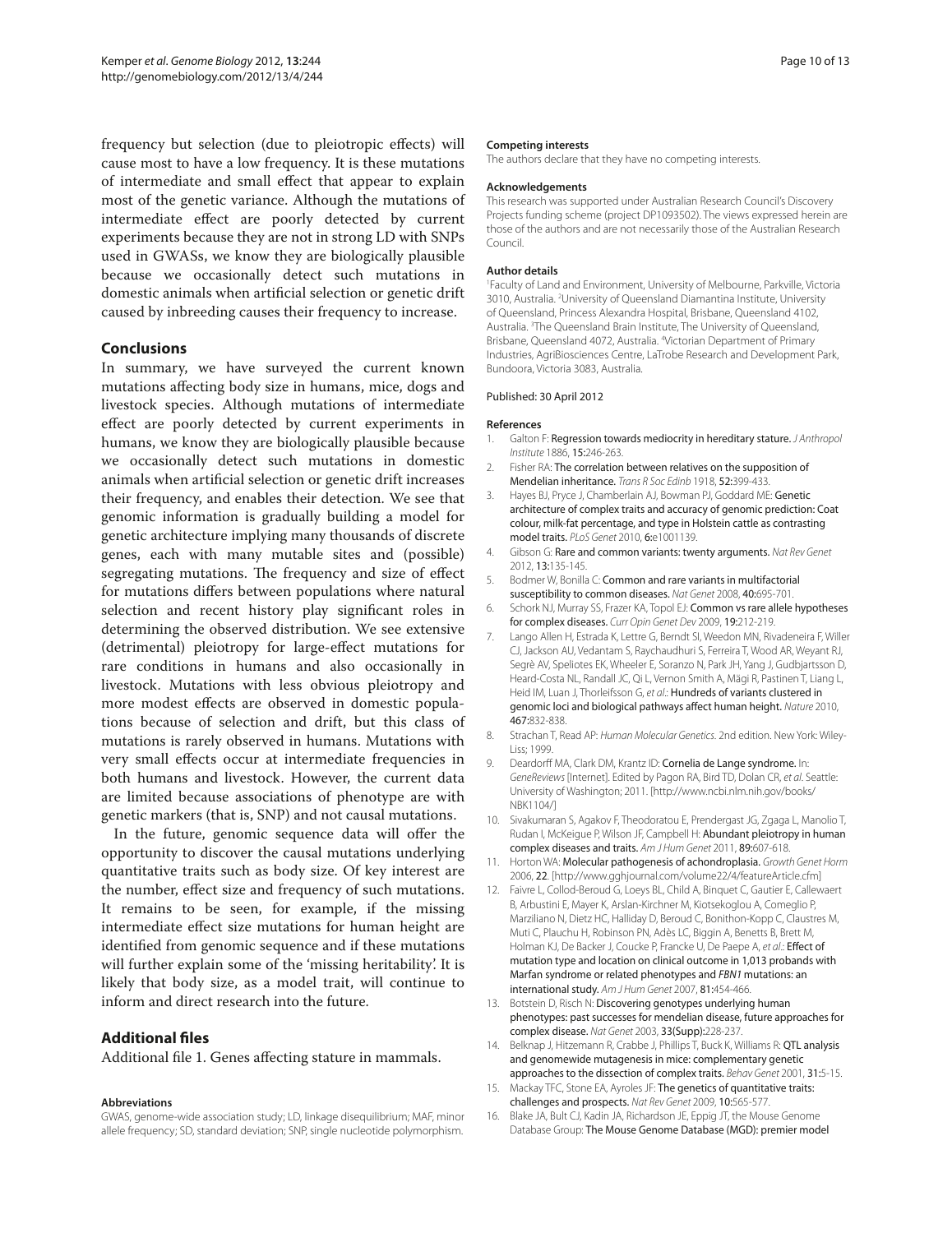frequency but selection (due to pleiotropic effects) will cause most to have a low frequency. It is these mutations of intermediate and small effect that appear to explain most of the genetic variance. Although the mutations of intermediate effect are poorly detected by current experiments because they are not in strong LD with SNPs used in GWASs, we know they are biologically plausible because we occasionally detect such mutations in domestic animals when artificial selection or genetic drift caused by inbreeding causes their frequency to increase.

## **Conclusions**

In summary, we have surveyed the current known mutations affecting body size in humans, mice, dogs and livestock species. Although mutations of intermediate effect are poorly detected by current experiments in humans, we know they are biologically plausible because we occasionally detect such mutations in domestic animals when artificial selection or genetic drift increases their frequency, and enables their detection. We see that genomic information is gradually building a model for genetic architecture implying many thousands of discrete genes, each with many mutable sites and (possible) segregating mutations. The frequency and size of effect for mutations differs between populations where natural selection and recent history play significant roles in determining the observed distribution. We see extensive (detrimental) pleiotropy for large-effect mutations for rare conditions in humans and also occasionally in livestock. Mutations with less obvious pleiotropy and more modest effects are observed in domestic populations because of selection and drift, but this class of mutations is rarely observed in humans. Mutations with very small effects occur at intermediate frequencies in both humans and livestock. However, the current data are limited because associations of phenotype are with genetic markers (that is, SNP) and not causal mutations.

In the future, genomic sequence data will offer the opportunity to discover the causal mutations underlying quantitative traits such as body size. Of key interest are the number, effect size and frequency of such mutations. It remains to be seen, for example, if the missing intermediate effect size mutations for human height are identified from genomic sequence and if these mutations will further explain some of the 'missing heritability'. It is likely that body size, as a model trait, will continue to inform and direct research into the future.

# **Additional files**

Additional file 1. Genes affecting stature in mammals.

#### **Abbreviations**

GWAS, genome-wide association study; LD, linkage disequilibrium; MAF, minor allele frequency; SD, standard deviation; SNP, single nucleotide polymorphism.

#### **Competing interests**

The authors declare that they have no competing interests.

#### **Acknowledgements**

This research was supported under Australian Research Council's Discovery Projects funding scheme (project DP1093502). The views expressed herein are those of the authors and are not necessarily those of the Australian Research Council.

#### **Author details**

1 Faculty of Land and Environment, University of Melbourne, Parkville, Victoria 3010, Australia. 2 University of Queensland Diamantina Institute, University of Queensland, Princess Alexandra Hospital, Brisbane, Queensland 4102, Australia. <sup>3</sup>The Queensland Brain Institute, The University of Queensland, Brisbane, Queensland 4072, Australia. 4 Victorian Department of Primary Industries, AgriBiosciences Centre, LaTrobe Research and Development Park, Bundoora, Victoria 3083, Australia.

#### Published: 30 April 2012

#### **References**

- 1. Galton F: Regression towards mediocrity in hereditary stature. *J Anthropol Institute* 1886, 15:246-263.
- 2. Fisher RA: The correlation between relatives on the supposition of Mendelian inheritance. *Trans R Soc Edinb* 1918, 52:399-433.
- 3. Hayes BJ, Pryce J, Chamberlain AJ, Bowman PJ, Goddard ME: Genetic architecture of complex traits and accuracy of genomic prediction: Coat colour, milk-fat percentage, and type in Holstein cattle as contrasting model traits. *PLoS Genet* 2010, 6:e1001139.
- 4. Gibson G: Rare and common variants: twenty arguments. *Nat Rev Genet*  2012, 13:135-145.
- 5. Bodmer W, Bonilla C: Common and rare variants in multifactorial susceptibility to common diseases. *Nat Genet* 2008, 40:695-701.
- 6. Schork NJ, Murray SS, Frazer KA, Topol EJ: Common vs rare allele hypotheses for complex diseases. *Curr Opin Genet Dev* 2009, 19:212-219.
- Lango Allen H, Estrada K, Lettre G, Berndt SI, Weedon MN, Rivadeneira F, Willer CJ, Jackson AU, Vedantam S, Raychaudhuri S, Ferreira T, Wood AR, Weyant RJ, Segrè AV, Speliotes EK, Wheeler E, Soranzo N, Park JH, Yang J, Gudbjartsson D, Heard-Costa NL, Randall JC, Qi L, Vernon Smith A, Mägi R, Pastinen T, Liang L, Heid IM, Luan J, Thorleifsson G, *et al*.: Hundreds of variants clustered in genomic loci and biological pathways affect human height. *Nature* 2010, 467:832-838.
- 8. Strachan T, Read AP: *Human Molecular Genetics*. 2nd edition. New York: Wiley-Liss; 1999.
- Deardorff MA, Clark DM, Krantz ID: Cornelia de Lange syndrome. In: *GeneReviews* [Internet]. Edited by Pagon RA, Bird TD, Dolan CR, *et al*. Seattle: University of Washington; 2011. [http://www.ncbi.nlm.nih.gov/books/ NBK1104/]
- 10. Sivakumaran S, Agakov F, Theodoratou E, Prendergast JG, Zgaga L, Manolio T, Rudan I, McKeigue P, Wilson JF, Campbell H: Abundant pleiotropy in human complex diseases and traits. *Am J Hum Genet* 2011, 89:607-618.
- 11. Horton WA: Molecular pathogenesis of achondroplasia. *Growth Genet Horm* 2006, 22. [http://www.gghjournal.com/volume22/4/featureArticle.cfm]
- 12. Faivre L, Collod-Beroud G, Loeys BL, Child A, Binquet C, Gautier E, Callewaert B, Arbustini E, Mayer K, Arslan-Kirchner M, Kiotsekoglou A, Comeglio P, Marziliano N, Dietz HC, Halliday D, Beroud C, Bonithon-Kopp C, Claustres M, Muti C, Plauchu H, Robinson PN, Adès LC, Biggin A, Benetts B, Brett M, Holman KJ, De Backer J, Coucke P, Francke U, De Paepe A, *et al*.: Effect of mutation type and location on clinical outcome in 1,013 probands with Marfan syndrome or related phenotypes and *FBN1* mutations: an international study. *Am J Hum Genet* 2007, 81:454-466.
- 13. Botstein D, Risch N: Discovering genotypes underlying human phenotypes: past successes for mendelian disease, future approaches for complex disease. *Nat Genet* 2003, 33(Supp):228-237.
- 14. Belknap J, Hitzemann R, Crabbe J, Phillips T, Buck K, Williams R: QTL analysis and genomewide mutagenesis in mice: complementary genetic approaches to the dissection of complex traits. *Behav Genet* 2001, 31:5-15.
- 15. Mackay TFC, Stone EA, Ayroles JF: The genetics of quantitative traits: challenges and prospects. *Nat Rev Genet* 2009, 10:565-577.
- 16. Blake JA, Bult CJ, Kadin JA, Richardson JE, Eppig JT, the Mouse Genome Database Group: The Mouse Genome Database (MGD): premier model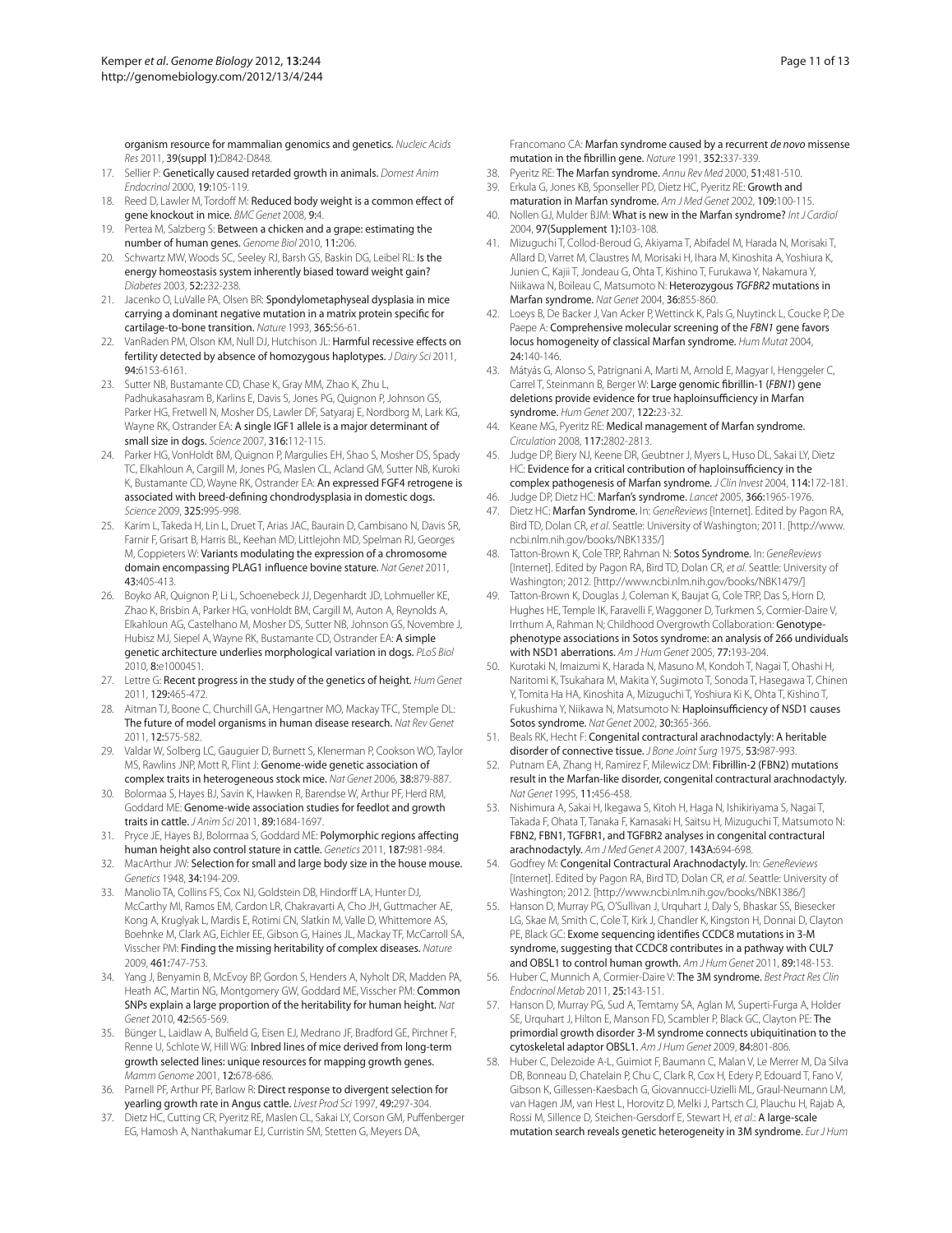organism resource for mammalian genomics and genetics. *Nucleic Acids Res* 2011, 39(suppl 1):D842-D848.

- 17. Sellier P: Genetically caused retarded growth in animals. *Domest Anim Endocrinol* 2000, 19:105-119.
- 18. Reed D, Lawler M, Tordoff M: Reduced body weight is a common effect of gene knockout in mice. *BMC Genet* 2008, 9:4.
- 19. Pertea M, Salzberg S: Between a chicken and a grape: estimating the number of human genes. *Genome Biol* 2010, 11:206.
- 20. Schwartz MW, Woods SC, Seeley RJ, Barsh GS, Baskin DG, Leibel RL: Is the energy homeostasis system inherently biased toward weight gain? *Diabetes* 2003, 52:232-238.
- 21. Jacenko O, LuValle PA, Olsen BR: Spondylometaphyseal dysplasia in mice carrying a dominant negative mutation in a matrix protein specific for cartilage-to-bone transition. *Nature* 1993, 365:56-61.
- 22. VanRaden PM, Olson KM, Null DJ, Hutchison JL: Harmful recessive effects on fertility detected by absence of homozygous haplotypes. *J Dairy Sci* 2011, 94:6153-6161.
- 23. Sutter NB, Bustamante CD, Chase K, Gray MM, Zhao K, Zhu L, Padhukasahasram B, Karlins E, Davis S, Jones PG, Quignon P, Johnson GS, Parker HG, Fretwell N, Mosher DS, Lawler DF, Satyaraj E, Nordborg M, Lark KG, Wayne RK, Ostrander EA: A single IGF1 allele is a major determinant of small size in dogs. *Science* 2007, 316:112-115.
- 24. Parker HG, VonHoldt BM, Quignon P, Margulies EH, Shao S, Mosher DS, Spady TC, Elkahloun A, Cargill M, Jones PG, Maslen CL, Acland GM, Sutter NB, Kuroki K, Bustamante CD, Wayne RK, Ostrander EA: An expressed FGF4 retrogene is associated with breed-defining chondrodysplasia in domestic dogs. *Science* 2009, 325:995-998.
- 25. Karim L, Takeda H, Lin L, Druet T, Arias JAC, Baurain D, Cambisano N, Davis SR, Farnir F, Grisart B, Harris BL, Keehan MD, Littlejohn MD, Spelman RJ, Georges M, Coppieters W: Variants modulating the expression of a chromosome domain encompassing PLAG1 influence bovine stature. *Nat Genet* 2011, 43:405-413.
- 26. Boyko AR, Quignon P, Li L, Schoenebeck JJ, Degenhardt JD, Lohmueller KE, Zhao K, Brisbin A, Parker HG, vonHoldt BM, Cargill M, Auton A, Reynolds A, Elkahloun AG, Castelhano M, Mosher DS, Sutter NB, Johnson GS, Novembre J, Hubisz MJ, Siepel A, Wayne RK, Bustamante CD, Ostrander EA: A simple genetic architecture underlies morphological variation in dogs. *PLoS Biol*  2010, 8:e1000451.
- 27. Lettre G: Recent progress in the study of the genetics of height. *Hum Genet*  2011, 129:465-472.
- 28. Aitman TJ, Boone C, Churchill GA, Hengartner MO, Mackay TFC, Stemple DL: The future of model organisms in human disease research. *Nat Rev Genet*  2011, 12:575-582.
- 29. Valdar W, Solberg LC, Gauguier D, Burnett S, Klenerman P, Cookson WO, Taylor MS, Rawlins JNP, Mott R, Flint J: Genome-wide genetic association of complex traits in heterogeneous stock mice. *Nat Genet* 2006, 38:879-887.
- 30. Bolormaa S, Hayes BJ, Savin K, Hawken R, Barendse W, Arthur PF, Herd RM, Goddard ME: Genome-wide association studies for feedlot and growth traits in cattle. *J Anim Sci* 2011, 89:1684-1697.
- 31. Pryce JE, Hayes BJ, Bolormaa S, Goddard ME: Polymorphic regions affecting human height also control stature in cattle. *Genetics* 2011, 187:981-984.
- 32. MacArthur JW: Selection for small and large body size in the house mouse. *Genetics* 1948, 34:194-209.
- 33. Manolio TA, Collins FS, Cox NJ, Goldstein DB, Hindorff LA, Hunter DJ, McCarthy MI, Ramos EM, Cardon LR, Chakravarti A, Cho JH, Guttmacher AE, Kong A, Kruglyak L, Mardis E, Rotimi CN, Slatkin M, Valle D, Whittemore AS, Boehnke M, Clark AG, Eichler EE, Gibson G, Haines JL, Mackay TF, McCarroll SA, Visscher PM: Finding the missing heritability of complex diseases. *Nature*  2009, 461:747-753.
- 34. Yang J, Benyamin B, McEvoy BP, Gordon S, Henders A, Nyholt DR, Madden PA, Heath AC, Martin NG, Montgomery GW, Goddard ME, Visscher PM: Common SNPs explain a large proportion of the heritability for human height. *Nat Genet* 2010, 42:565-569.
- 35. Bünger L, Laidlaw A, Bulfield G, Eisen EJ, Medrano JF, Bradford GE, Pirchner F, Renne U, Schlote W, Hill WG: Inbred lines of mice derived from long-term growth selected lines: unique resources for mapping growth genes. *Mamm Genome* 2001, 12:678-686.
- 36. Parnell PF, Arthur PF, Barlow R: Direct response to divergent selection for yearling growth rate in Angus cattle. *Livest Prod Sci* 1997, 49:297-304.
- 37. Dietz HC, Cutting CR, Pyeritz RE, Maslen CL, Sakai LY, Corson GM, Puffenberger EG, Hamosh A, Nanthakumar EJ, Curristin SM, Stetten G, Meyers DA,

Francomano CA: Marfan syndrome caused by a recurrent *de novo* missense mutation in the fibrillin gene. *Nature* 1991, 352:337-339.

- 38. Pyeritz RE: The Marfan syndrome. *Annu Rev Med* 2000, 51:481-510.
- 39. Erkula G, Jones KB, Sponseller PD, Dietz HC, Pyeritz RE: Growth and maturation in Marfan syndrome. *Am J Med Genet* 2002, 109:100-115.
- 40. Nollen GJ, Mulder BJM: What is new in the Marfan syndrome? *Int J Cardiol*  2004, 97(Supplement 1):103-108.
- 41. Mizuguchi T, Collod-Beroud G, Akiyama T, Abifadel M, Harada N, Morisaki T, Allard D, Varret M, Claustres M, Morisaki H, Ihara M, Kinoshita A, Yoshiura K, Junien C, Kajii T, Jondeau G, Ohta T, Kishino T, Furukawa Y, Nakamura Y, Niikawa N, Boileau C, Matsumoto N: Heterozygous *TGFBR2* mutations in Marfan syndrome. *Nat Genet* 2004, 36:855-860.
- 42. Loeys B, De Backer J, Van Acker P, Wettinck K, Pals G, Nuytinck L, Coucke P, De Paepe A: Comprehensive molecular screening of the *FBN1* gene favors locus homogeneity of classical Marfan syndrome. *Hum Mutat* 2004, 24:140-146.
- 43. Mátyás G, Alonso S, Patrignani A, Marti M, Arnold E, Magyar I, Henggeler C, Carrel T, Steinmann B, Berger W: Large genomic fibrillin-1 (*FBN1*) gene deletions provide evidence for true haploinsufficiency in Marfan syndrome. *Hum Genet* 2007, 122:23-32.
- 44. Keane MG, Pyeritz RE: Medical management of Marfan syndrome. *Circulation* 2008, 117:2802-2813.
- 45. Judge DP, Biery NJ, Keene DR, Geubtner J, Myers L, Huso DL, Sakai LY, Dietz HC: Evidence for a critical contribution of haploinsufficiency in the complex pathogenesis of Marfan syndrome. *J Clin Invest* 2004, 114:172-181.
- 46. Judge DP, Dietz HC: Marfan's syndrome. *Lancet* 2005, 366:1965-1976.
- 47. Dietz HC: Marfan Syndrome. In: *GeneReviews* [Internet]. Edited by Pagon RA, Bird TD, Dolan CR, *et al*. Seattle: University of Washington; 2011. [http://www. ncbi.nlm.nih.gov/books/NBK1335/]
- 48. Tatton-Brown K, Cole TRP, Rahman N: Sotos Syndrome. In: *GeneReviews* [Internet]. Edited by Pagon RA, Bird TD, Dolan CR, *et al*. Seattle: University of Washington; 2012. [http://www.ncbi.nlm.nih.gov/books/NBK1479/]
- 49. Tatton-Brown K, Douglas J, Coleman K, Baujat G, Cole TRP, Das S, Horn D, Hughes HE, Temple IK, Faravelli F, Waggoner D, Turkmen S, Cormier-Daire V, Irrthum A, Rahman N; Childhood Overgrowth Collaboration: Genotypephenotype associations in Sotos syndrome: an analysis of 266 undividuals with NSD1 aberrations. *Am J Hum Genet* 2005, 77:193-204.
- 50. Kurotaki N, Imaizumi K, Harada N, Masuno M, Kondoh T, Nagai T, Ohashi H, Naritomi K, Tsukahara M, Makita Y, Sugimoto T, Sonoda T, Hasegawa T, Chinen Y, Tomita Ha HA, Kinoshita A, Mizuguchi T, Yoshiura Ki K, Ohta T, Kishino T, Fukushima Y, Niikawa N, Matsumoto N: Haploinsufficiency of NSD1 causes Sotos syndrome. *Nat Genet* 2002, 30:365-366.
- 51. Beals RK, Hecht F: Congenital contractural arachnodactyly: A heritable disorder of connective tissue. *J Bone Joint Surg* 1975, 53:987-993.
- 52. Putnam EA, Zhang H, Ramirez F, Milewicz DM: Fibrillin-2 (FBN2) mutations result in the Marfan-like disorder, congenital contractural arachnodactyly. *Nat Genet* 1995, 11:456-458.
- 53. Nishimura A, Sakai H, Ikegawa S, Kitoh H, Haga N, Ishikiriyama S, Nagai T, Takada F, Ohata T, Tanaka F, Kamasaki H, Saitsu H, Mizuguchi T, Matsumoto N: FBN2, FBN1, TGFBR1, and TGFBR2 analyses in congenital contractural arachnodactyly. *Am J Med Genet A* 2007, 143A:694-698.
- 54. Godfrey M: Congenital Contractural Arachnodactyly. In: *GeneReviews* [Internet]. Edited by Pagon RA, Bird TD, Dolan CR, *et al*. Seattle: University of Washington; 2012. [http://www.ncbi.nlm.nih.gov/books/NBK1386/]
- 55. Hanson D, Murray PG, O'Sullivan J, Urquhart J, Daly S, Bhaskar SS, Biesecker LG, Skae M, Smith C, Cole T, Kirk J, Chandler K, Kingston H, Donnai D, Clayton PE, Black GC: Exome sequencing identifies CCDC8 mutations in 3-M syndrome, suggesting that CCDC8 contributes in a pathway with CUL7 and OBSL1 to control human growth. *Am J Hum Genet* 2011, 89:148-153.
- 56. Huber C, Munnich A, Cormier-Daire V: The 3M syndrome. *Best Pract Res Clin Endocrinol Metab* 2011, 25:143-151.
- 57. Hanson D, Murray PG, Sud A, Temtamy SA, Aglan M, Superti-Furga A, Holder SE, Urquhart J, Hilton E, Manson FD, Scambler P, Black GC, Clayton PE: The primordial growth disorder 3-M syndrome connects ubiquitination to the cytoskeletal adaptor OBSL1. *Am J Hum Genet* 2009, 84:801-806.
- 58. Huber C, Delezoide A-L, Guimiot F, Baumann C, Malan V, Le Merrer M, Da Silva DB, Bonneau D, Chatelain P, Chu C, Clark R, Cox H, Edery P, Edouard T, Fano V, Gibson K, Gillessen-Kaesbach G, Giovannucci-Uzielli ML, Graul-Neumann LM, van Hagen JM, van Hest L, Horovitz D, Melki J, Partsch CJ, Plauchu H, Rajab A, Rossi M, Sillence D, Steichen-Gersdorf E, Stewart H, *et al*.: A large-scale mutation search reveals genetic heterogeneity in 3M syndrome. *Eur J Hum*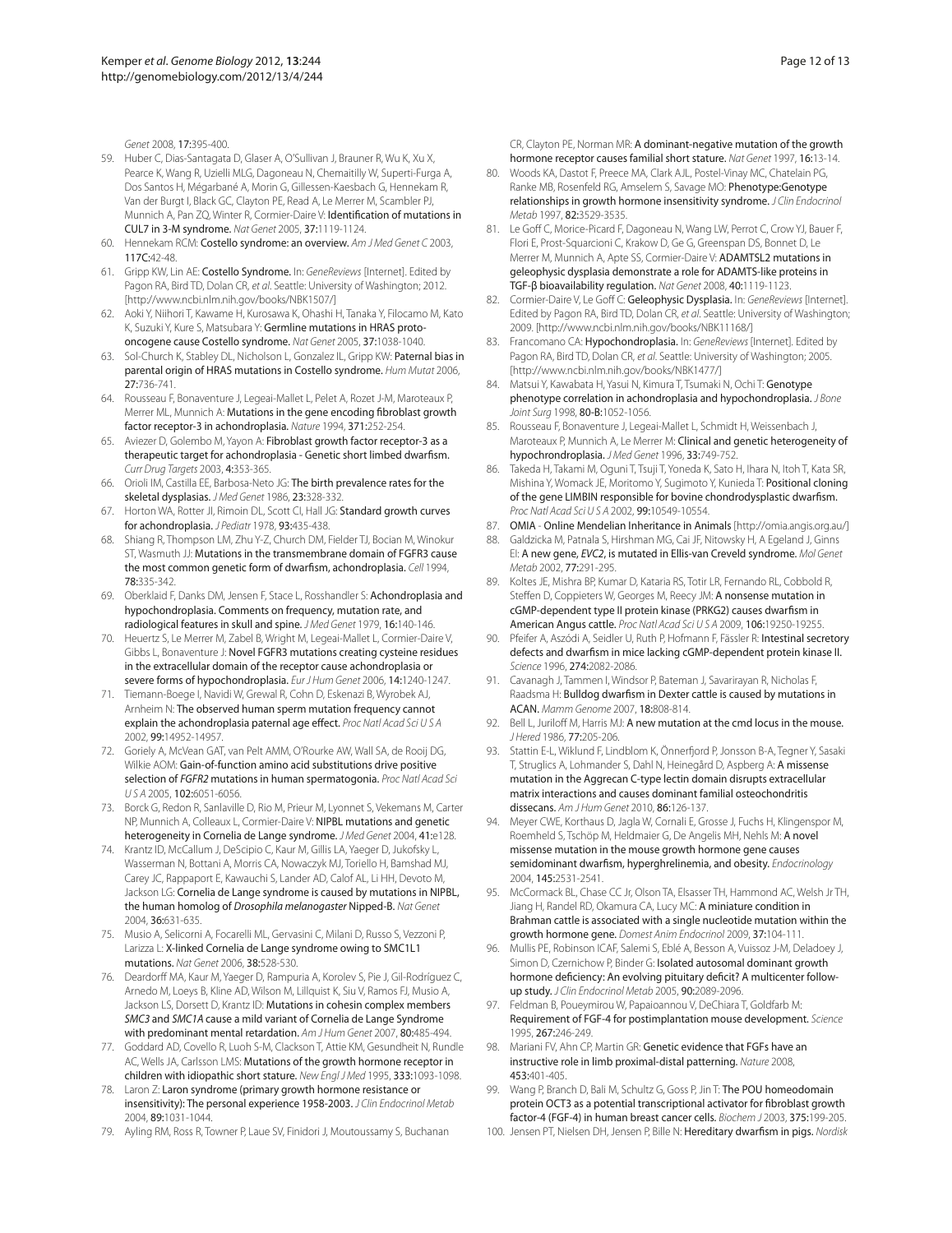*Genet* 2008, 17:395-400.

- 59. Huber C, Dias-Santagata D, Glaser A, O'Sullivan J, Brauner R, Wu K, Xu X, Pearce K, Wang R, Uzielli MLG, Dagoneau N, Chemaitilly W, Superti-Furga A, Dos Santos H, Mégarbané A, Morin G, Gillessen-Kaesbach G, Hennekam R, Van der Burgt I, Black GC, Clayton PE, Read A, Le Merrer M, Scambler PJ, Munnich A, Pan ZQ, Winter R, Cormier-Daire V: Identification of mutations in CUL7 in 3-M syndrome. *Nat Genet* 2005, 37:1119-1124.
- 60. Hennekam RCM: Costello syndrome: an overview. *Am J Med Genet C* 2003, 117C:42-48.
- 61. Gripp KW, Lin AE: Costello Syndrome. In: *GeneReviews* [Internet]. Edited by Pagon RA, Bird TD, Dolan CR, *et al*. Seattle: University of Washington; 2012. [http://www.ncbi.nlm.nih.gov/books/NBK1507/]
- 62. Aoki Y, Niihori T, Kawame H, Kurosawa K, Ohashi H, Tanaka Y, Filocamo M, Kato K, Suzuki Y, Kure S, Matsubara Y: Germline mutations in HRAS protooncogene cause Costello syndrome. *Nat Genet* 2005, 37:1038-1040.
- 63. Sol-Church K, Stabley DL, Nicholson L, Gonzalez IL, Gripp KW: Paternal bias in parental origin of HRAS mutations in Costello syndrome. *Hum Mutat* 2006, 27:736-741.
- 64. Rousseau F, Bonaventure J, Legeai-Mallet L, Pelet A, Rozet J-M, Maroteaux P, Merrer ML, Munnich A: Mutations in the gene encoding fibroblast growth factor receptor-3 in achondroplasia. *Nature* 1994, 371:252-254.
- 65. Aviezer D, Golembo M, Yayon A: Fibroblast growth factor receptor-3 as a therapeutic target for achondroplasia - Genetic short limbed dwarfism. *Curr Drug Targets* 2003, 4:353-365.
- 66. Orioli IM, Castilla EE, Barbosa-Neto JG: The birth prevalence rates for the skeletal dysplasias. *J Med Genet* 1986, 23:328-332.
- 67. Horton WA, Rotter JI, Rimoin DL, Scott CI, Hall JG: Standard growth curves for achondroplasia. *J Pediatr* 1978, 93:435-438.
- 68. Shiang R, Thompson LM, Zhu Y-Z, Church DM, Fielder TJ, Bocian M, Winokur ST, Wasmuth JJ: Mutations in the transmembrane domain of FGFR3 cause the most common genetic form of dwarfism, achondroplasia. *Cell* 1994, 78:335-342.
- 69. Oberklaid F, Danks DM, Jensen F, Stace L, Rosshandler S: Achondroplasia and hypochondroplasia. Comments on frequency, mutation rate, and radiological features in skull and spine. *J Med Genet* 1979, 16:140-146.
- 70. Heuertz S, Le Merrer M, Zabel B, Wright M, Legeai-Mallet L, Cormier-Daire V, Gibbs L, Bonaventure J: Novel FGFR3 mutations creating cysteine residues in the extracellular domain of the receptor cause achondroplasia or severe forms of hypochondroplasia. *Eur J Hum Genet* 2006, 14:1240-1247.
- 71. Tiemann-Boege I, Navidi W, Grewal R, Cohn D, Eskenazi B, Wyrobek AJ, Arnheim N: The observed human sperm mutation frequency cannot explain the achondroplasia paternal age effect. *Proc Natl Acad Sci U S A*  2002, 99:14952-14957.
- 72. Goriely A, McVean GAT, van Pelt AMM, O'Rourke AW, Wall SA, de Rooij DG, Wilkie AOM: Gain-of-function amino acid substitutions drive positive selection of *FGFR2* mutations in human spermatogonia. *Proc Natl Acad Sci U S A* 2005, 102:6051-6056.
- 73. Borck G, Redon R, Sanlaville D, Rio M, Prieur M, Lyonnet S, Vekemans M, Carter NP, Munnich A, Colleaux L, Cormier-Daire V: NIPBL mutations and genetic heterogeneity in Cornelia de Lange syndrome. *J Med Genet* 2004, 41:e128.
- 74. Krantz ID, McCallum J, DeScipio C, Kaur M, Gillis LA, Yaeger D, Jukofsky L, Wasserman N, Bottani A, Morris CA, Nowaczyk MJ, Toriello H, Bamshad MJ, Carey JC, Rappaport E, Kawauchi S, Lander AD, Calof AL, Li HH, Devoto M, Jackson LG: Cornelia de Lange syndrome is caused by mutations in NIPBL, the human homolog of *Drosophila melanogaster* Nipped-B. *Nat Genet*  2004, 36:631-635.
- 75. Musio A, Selicorni A, Focarelli ML, Gervasini C, Milani D, Russo S, Vezzoni P, Larizza L: X-linked Cornelia de Lange syndrome owing to SMC1L1 mutations. *Nat Genet* 2006, 38:528-530.
- 76. Deardorff MA, Kaur M, Yaeger D, Rampuria A, Korolev S, Pie J, Gil-Rodríguez C, Arnedo M, Loeys B, Kline AD, Wilson M, Lillquist K, Siu V, Ramos FJ, Musio A, Jackson LS, Dorsett D, Krantz ID: Mutations in cohesin complex members *SMC3* and *SMC1A* cause a mild variant of Cornelia de Lange Syndrome with predominant mental retardation. *Am J Hum Genet* 2007, 80:485-494.
- 77. Goddard AD, Covello R, Luoh S-M, Clackson T, Attie KM, Gesundheit N, Rundle AC, Wells JA, Carlsson LMS: Mutations of the growth hormone receptor in children with idiopathic short stature. *New Engl J Med* 1995, 333:1093-1098.
- 78. Laron Z: Laron syndrome (primary growth hormone resistance or insensitivity): The personal experience 1958-2003. *J Clin Endocrinol Metab*  2004, 89:1031-1044.
- 79. Ayling RM, Ross R, Towner P, Laue SV, Finidori J, Moutoussamy S, Buchanan

CR, Clayton PE, Norman MR: A dominant-negative mutation of the growth hormone receptor causes familial short stature. *Nat Genet* 1997, 16:13-14.

- 80. Woods KA, Dastot F, Preece MA, Clark AJL, Postel-Vinay MC, Chatelain PG, Ranke MB, Rosenfeld RG, Amselem S, Savage MO: Phenotype:Genotype relationships in growth hormone insensitivity syndrome. *J Clin Endocrinol Metab* 1997, 82:3529-3535.
- 81. Le Goff C, Morice-Picard F, Dagoneau N, Wang LW, Perrot C, Crow YJ, Bauer F, Flori E, Prost-Squarcioni C, Krakow D, Ge G, Greenspan DS, Bonnet D, Le Merrer M, Munnich A, Apte SS, Cormier-Daire V: ADAMTSL2 mutations in geleophysic dysplasia demonstrate a role for ADAMTS-like proteins in TGF-β bioavailability regulation. *Nat Genet* 2008, 40:1119-1123.
- 82. Cormier-Daire V, Le Goff C: Geleophysic Dysplasia. In: *GeneReviews* [Internet]. Edited by Pagon RA, Bird TD, Dolan CR, *et al*. Seattle: University of Washington; 2009. [http://www.ncbi.nlm.nih.gov/books/NBK11168/]
- 83. Francomano CA: Hypochondroplasia. In: *GeneReviews* [Internet]. Edited by Pagon RA, Bird TD, Dolan CR, *et al*. Seattle: University of Washington; 2005. [http://www.ncbi.nlm.nih.gov/books/NBK1477/]
- 84. Matsui Y, Kawabata H, Yasui N, Kimura T, Tsumaki N, Ochi T: Genotype phenotype correlation in achondroplasia and hypochondroplasia. *J Bone Joint Surg* 1998, 80-B:1052-1056.
- 85. Rousseau F, Bonaventure J, Legeai-Mallet L, Schmidt H, Weissenbach J, Maroteaux P, Munnich A, Le Merrer M: Clinical and genetic heterogeneity of hypochrondroplasia. *J Med Genet* 1996, 33:749-752.
- Takeda H, Takami M, Oguni T, Tsuji T, Yoneda K, Sato H, Ihara N, Itoh T, Kata SR, Mishina Y, Womack JE, Moritomo Y, Sugimoto Y, Kunieda T: Positional cloning of the gene LIMBIN responsible for bovine chondrodysplastic dwarfism. *Proc Natl Acad Sci U S A* 2002, 99:10549-10554.
- 87. OMIA Online Mendelian Inheritance in Animals [http://omia.angis.org.au/]
- 88. Galdzicka M, Patnala S, Hirshman MG, Cai JF, Nitowsky H, A Egeland J, Ginns EI: A new gene, *EVC2*, is mutated in Ellis-van Creveld syndrome. *Mol Genet Metab* 2002, 77:291-295.
- 89. Koltes JE, Mishra BP, Kumar D, Kataria RS, Totir LR, Fernando RL, Cobbold R, Steffen D, Coppieters W, Georges M, Reecy JM: A nonsense mutation in cGMP-dependent type II protein kinase (PRKG2) causes dwarfism in American Angus cattle. *Proc Natl Acad Sci U S A* 2009, 106:19250-19255.
- 90. Pfeifer A, Aszódi A, Seidler U, Ruth P, Hofmann F, Fässler R; Intestinal secretory defects and dwarfism in mice lacking cGMP-dependent protein kinase II. *Science* 1996, 274:2082-2086.
- 91. Cavanagh J, Tammen I, Windsor P, Bateman J, Savarirayan R, Nicholas F, Raadsma H: Bulldog dwarfism in Dexter cattle is caused by mutations in ACAN. *Mamm Genome* 2007, 18:808-814.
- 92. Bell L, Juriloff M, Harris MJ: A new mutation at the cmd locus in the mouse. *J Hered* 1986, 77:205-206.
- 93. Stattin E-L, Wiklund F, Lindblom K, Önnerfjord P, Jonsson B-A, Tegner Y, Sasaki T, Struglics A, Lohmander S, Dahl N, Heinegård D, Aspberg A: A missense mutation in the Aggrecan C-type lectin domain disrupts extracellular matrix interactions and causes dominant familial osteochondritis dissecans. *Am J Hum Genet* 2010, 86:126-137.
- Meyer CWE, Korthaus D, Jagla W, Cornali E, Grosse J, Fuchs H, Klingenspor M, Roemheld S, Tschöp M, Heldmaier G, De Angelis MH, Nehls M: A novel missense mutation in the mouse growth hormone gene causes semidominant dwarfism, hyperghrelinemia, and obesity. *Endocrinology*  2004, 145:2531-2541.
- 95. McCormack BL, Chase CC Jr, Olson TA, Elsasser TH, Hammond AC, Welsh Jr TH, Jiang H, Randel RD, Okamura CA, Lucy MC: A miniature condition in Brahman cattle is associated with a single nucleotide mutation within the growth hormone gene. *Domest Anim Endocrinol* 2009, 37:104-111.
- 96. Mullis PE, Robinson ICAF, Salemi S, Eblé A, Besson A, Vuissoz J-M, Deladoey J, Simon D, Czernichow P, Binder G: Isolated autosomal dominant growth hormone deficiency: An evolving pituitary deficit? A multicenter followup study. *J Clin Endocrinol Metab* 2005, 90:2089-2096.
- 97. Feldman B, Poueymirou W, Papaioannou V, DeChiara T, Goldfarb M: Requirement of FGF-4 for postimplantation mouse development. *Science*  1995, 267:246-249.
- Mariani FV, Ahn CP, Martin GR: Genetic evidence that FGFs have an instructive role in limb proximal-distal patterning. *Nature* 2008, 453:401-405.
- 99. Wang P, Branch D, Bali M, Schultz G, Goss P, Jin T: The POU homeodomain protein OCT3 as a potential transcriptional activator for fibroblast growth factor-4 (FGF-4) in human breast cancer cells. *Biochem J* 2003, 375:199-205.
- 100. Jensen PT, Nielsen DH, Jensen P, Bille N: Hereditary dwarfism in pigs. *Nordisk*